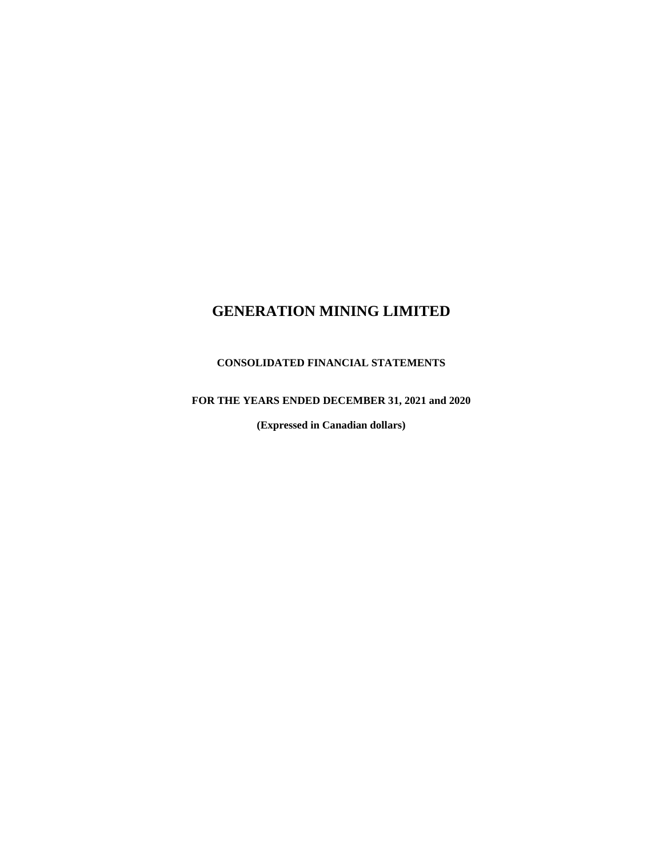## **CONSOLIDATED FINANCIAL STATEMENTS**

## **FOR THE YEARS ENDED DECEMBER 31, 2021 and 2020**

**(Expressed in Canadian dollars)**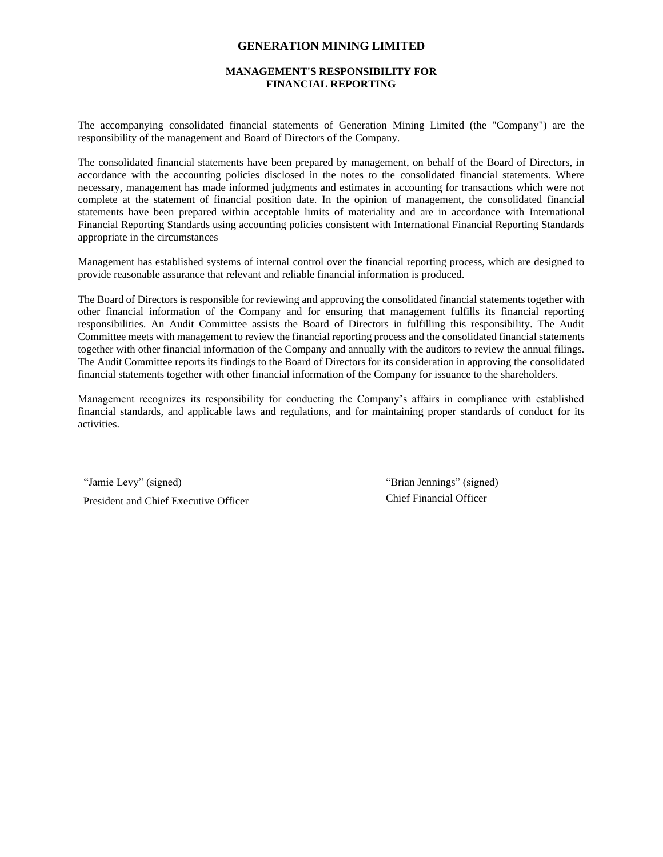### **MANAGEMENT'S RESPONSIBILITY FOR FINANCIAL REPORTING**

The accompanying consolidated financial statements of Generation Mining Limited (the "Company") are the responsibility of the management and Board of Directors of the Company.

The consolidated financial statements have been prepared by management, on behalf of the Board of Directors, in accordance with the accounting policies disclosed in the notes to the consolidated financial statements. Where necessary, management has made informed judgments and estimates in accounting for transactions which were not complete at the statement of financial position date. In the opinion of management, the consolidated financial statements have been prepared within acceptable limits of materiality and are in accordance with International Financial Reporting Standards using accounting policies consistent with International Financial Reporting Standards appropriate in the circumstances

Management has established systems of internal control over the financial reporting process, which are designed to provide reasonable assurance that relevant and reliable financial information is produced.

The Board of Directors is responsible for reviewing and approving the consolidated financial statements together with other financial information of the Company and for ensuring that management fulfills its financial reporting responsibilities. An Audit Committee assists the Board of Directors in fulfilling this responsibility. The Audit Committee meets with management to review the financial reporting process and the consolidated financial statements together with other financial information of the Company and annually with the auditors to review the annual filings. The Audit Committee reports its findings to the Board of Directors for its consideration in approving the consolidated financial statements together with other financial information of the Company for issuance to the shareholders.

Management recognizes its responsibility for conducting the Company's affairs in compliance with established financial standards, and applicable laws and regulations, and for maintaining proper standards of conduct for its activities.

President and Chief Executive Officer

"Jamie Levy" (signed) "Brian Jennings" (signed)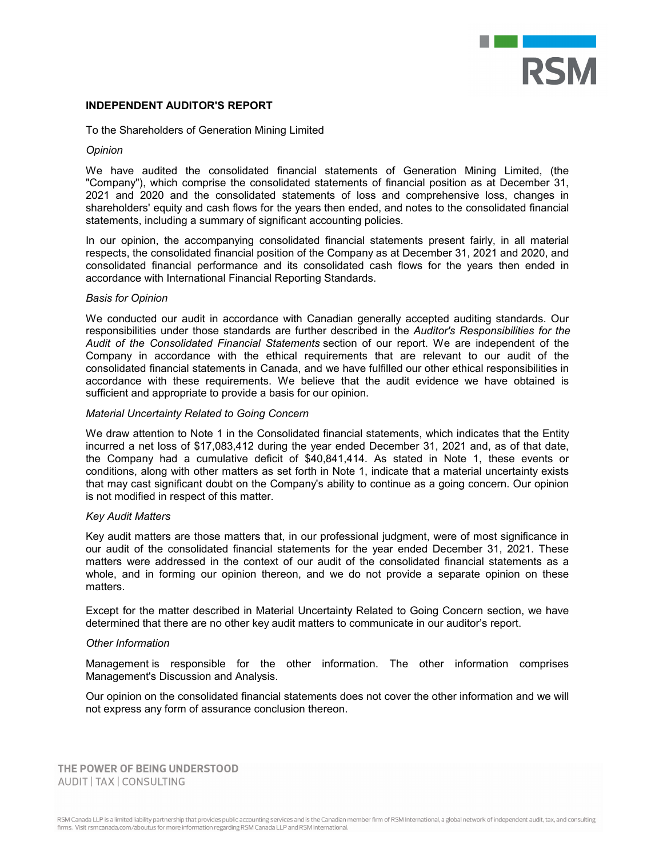

#### **INDEPENDENT AUDITOR'S REPORT**

To the Shareholders of Generation Mining Limited

#### *Opinion*

We have audited the consolidated financial statements of Generation Mining Limited, (the "Company"), which comprise the consolidated statements of financial position as at December 31, 2021 and 2020 and the consolidated statements of loss and comprehensive loss, changes in shareholders' equity and cash flows for the years then ended, and notes to the consolidated financial statements, including a summary of significant accounting policies.

In our opinion, the accompanying consolidated financial statements present fairly, in all material respects, the consolidated financial position of the Company as at December 31, 2021 and 2020, and consolidated financial performance and its consolidated cash flows for the years then ended in accordance with International Financial Reporting Standards.

#### *Basis for Opinion*

We conducted our audit in accordance with Canadian generally accepted auditing standards. Our responsibilities under those standards are further described in the *Auditor's Responsibilities for the Audit of the Consolidated Financial Statements* section of our report. We are independent of the Company in accordance with the ethical requirements that are relevant to our audit of the consolidated financial statements in Canada, and we have fulfilled our other ethical responsibilities in accordance with these requirements. We believe that the audit evidence we have obtained is sufficient and appropriate to provide a basis for our opinion.

#### *Material Uncertainty Related to Going Concern*

We draw attention to Note 1 in the Consolidated financial statements, which indicates that the Entity incurred a net loss of \$17,083,412 during the year ended December 31, 2021 and, as of that date, the Company had a cumulative deficit of \$40,841,414. As stated in Note 1, these events or conditions, along with other matters as set forth in Note 1, indicate that a material uncertainty exists that may cast significant doubt on the Company's ability to continue as a going concern. Our opinion is not modified in respect of this matter.

#### *Key Audit Matters*

Key audit matters are those matters that, in our professional judgment, were of most significance in our audit of the consolidated financial statements for the year ended December 31, 2021. These matters were addressed in the context of our audit of the consolidated financial statements as a whole, and in forming our opinion thereon, and we do not provide a separate opinion on these matters.

Except for the matter described in Material Uncertainty Related to Going Concern section, we have determined that there are no other key audit matters to communicate in our auditor's report.

#### *Other Information*

Management is responsible for the other information. The other information comprises Management's Discussion and Analysis.

Our opinion on the consolidated financial statements does not cover the other information and we will not express any form of assurance conclusion thereon.

THE POWER OF BEING UNDERSTOOD **AUDIT | TAX | CONSULTING**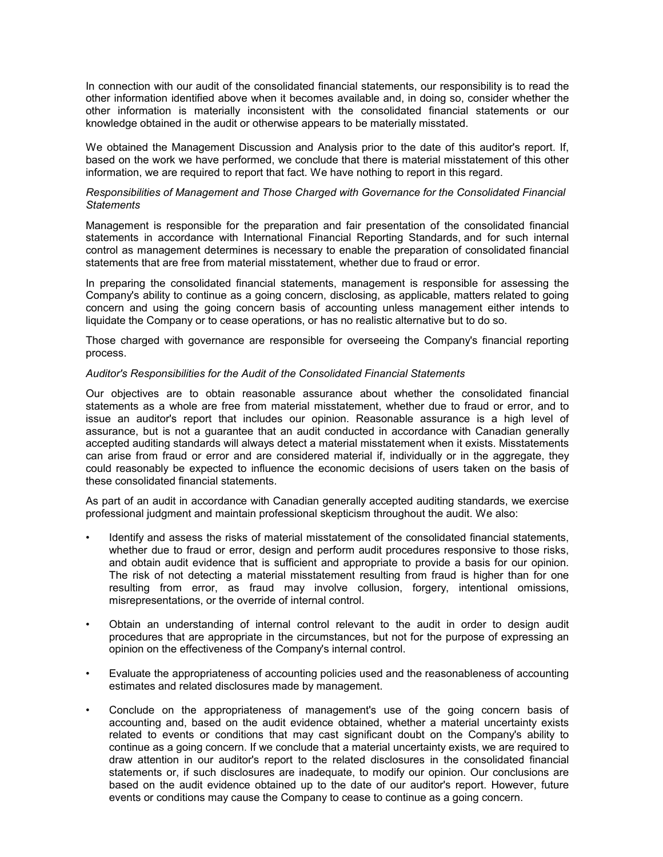In connection with our audit of the consolidated financial statements, our responsibility is to read the other information identified above when it becomes available and, in doing so, consider whether the other information is materially inconsistent with the consolidated financial statements or our knowledge obtained in the audit or otherwise appears to be materially misstated.

We obtained the Management Discussion and Analysis prior to the date of this auditor's report. If, based on the work we have performed, we conclude that there is material misstatement of this other information, we are required to report that fact. We have nothing to report in this regard.

#### *Responsibilities of Management and Those Charged with Governance for the Consolidated Financial Statements*

Management is responsible for the preparation and fair presentation of the consolidated financial statements in accordance with International Financial Reporting Standards, and for such internal control as management determines is necessary to enable the preparation of consolidated financial statements that are free from material misstatement, whether due to fraud or error.

In preparing the consolidated financial statements, management is responsible for assessing the Company's ability to continue as a going concern, disclosing, as applicable, matters related to going concern and using the going concern basis of accounting unless management either intends to liquidate the Company or to cease operations, or has no realistic alternative but to do so.

Those charged with governance are responsible for overseeing the Company's financial reporting process.

#### *Auditor's Responsibilities for the Audit of the Consolidated Financial Statements*

Our objectives are to obtain reasonable assurance about whether the consolidated financial statements as a whole are free from material misstatement, whether due to fraud or error, and to issue an auditor's report that includes our opinion. Reasonable assurance is a high level of assurance, but is not a guarantee that an audit conducted in accordance with Canadian generally accepted auditing standards will always detect a material misstatement when it exists. Misstatements can arise from fraud or error and are considered material if, individually or in the aggregate, they could reasonably be expected to influence the economic decisions of users taken on the basis of these consolidated financial statements.

As part of an audit in accordance with Canadian generally accepted auditing standards, we exercise professional judgment and maintain professional skepticism throughout the audit. We also:

- Identify and assess the risks of material misstatement of the consolidated financial statements, whether due to fraud or error, design and perform audit procedures responsive to those risks, and obtain audit evidence that is sufficient and appropriate to provide a basis for our opinion. The risk of not detecting a material misstatement resulting from fraud is higher than for one resulting from error, as fraud may involve collusion, forgery, intentional omissions, misrepresentations, or the override of internal control.
- Obtain an understanding of internal control relevant to the audit in order to design audit procedures that are appropriate in the circumstances, but not for the purpose of expressing an opinion on the effectiveness of the Company's internal control.
- Evaluate the appropriateness of accounting policies used and the reasonableness of accounting estimates and related disclosures made by management.
- Conclude on the appropriateness of management's use of the going concern basis of accounting and, based on the audit evidence obtained, whether a material uncertainty exists related to events or conditions that may cast significant doubt on the Company's ability to continue as a going concern. If we conclude that a material uncertainty exists, we are required to draw attention in our auditor's report to the related disclosures in the consolidated financial statements or, if such disclosures are inadequate, to modify our opinion. Our conclusions are based on the audit evidence obtained up to the date of our auditor's report. However, future events or conditions may cause the Company to cease to continue as a going concern.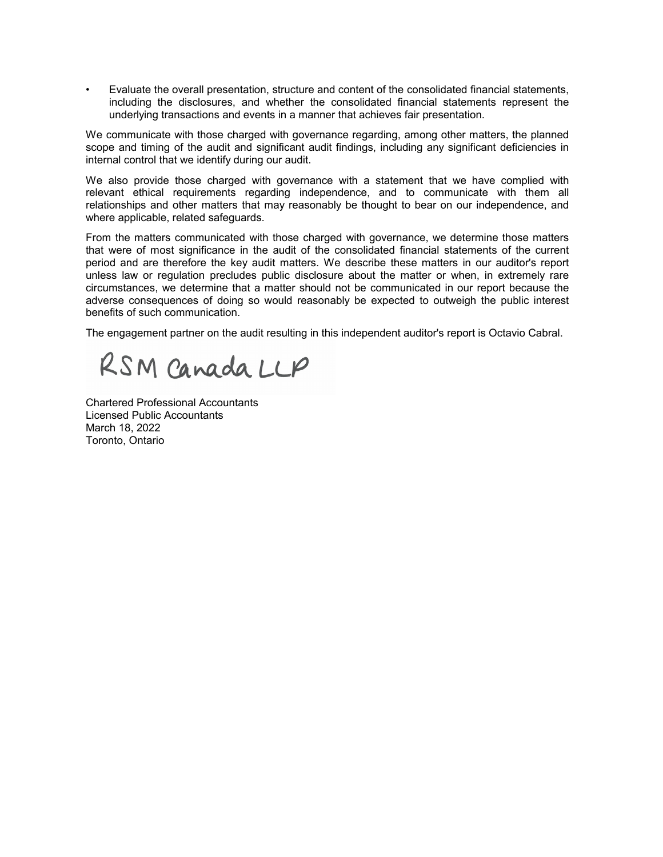• Evaluate the overall presentation, structure and content of the consolidated financial statements, including the disclosures, and whether the consolidated financial statements represent the underlying transactions and events in a manner that achieves fair presentation.

We communicate with those charged with governance regarding, among other matters, the planned scope and timing of the audit and significant audit findings, including any significant deficiencies in internal control that we identify during our audit.

We also provide those charged with governance with a statement that we have complied with relevant ethical requirements regarding independence, and to communicate with them all relationships and other matters that may reasonably be thought to bear on our independence, and where applicable, related safeguards.

From the matters communicated with those charged with governance, we determine those matters that were of most significance in the audit of the consolidated financial statements of the current period and are therefore the key audit matters. We describe these matters in our auditor's report unless law or regulation precludes public disclosure about the matter or when, in extremely rare circumstances, we determine that a matter should not be communicated in our report because the adverse consequences of doing so would reasonably be expected to outweigh the public interest benefits of such communication.

The engagement partner on the audit resulting in this independent auditor's report is Octavio Cabral.

RSM Canada LLP

Chartered Professional Accountants Licensed Public Accountants March 18, 2022 Toronto, Ontario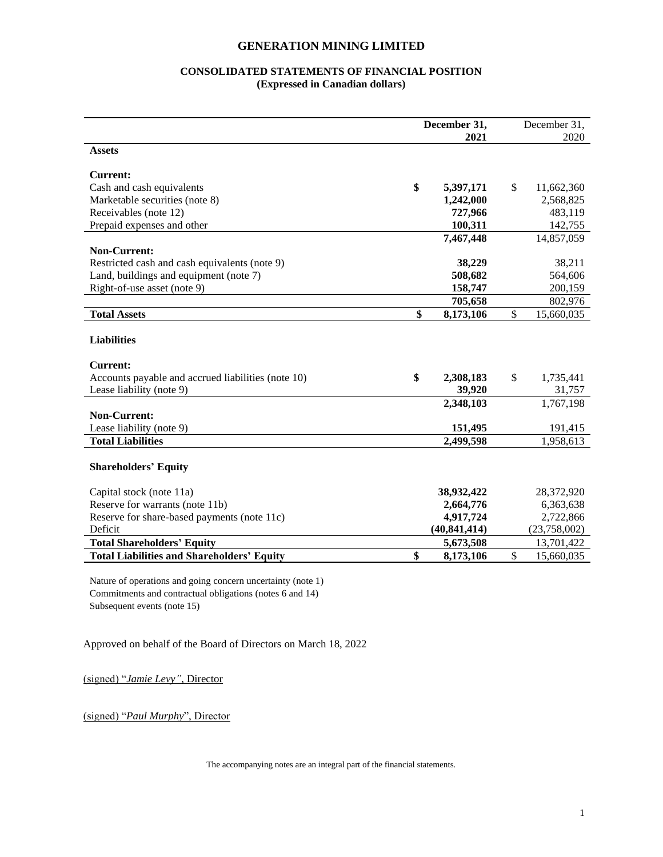## **CONSOLIDATED STATEMENTS OF FINANCIAL POSITION (Expressed in Canadian dollars)**

|                                                    | December 31, |                | December 31, |              |
|----------------------------------------------------|--------------|----------------|--------------|--------------|
|                                                    |              | 2021           |              | 2020         |
| <b>Assets</b>                                      |              |                |              |              |
| <b>Current:</b>                                    |              |                |              |              |
| Cash and cash equivalents                          | \$           | 5,397,171      | \$           | 11,662,360   |
| Marketable securities (note 8)                     |              | 1,242,000      |              | 2,568,825    |
|                                                    |              |                |              |              |
| Receivables (note 12)                              |              | 727,966        |              | 483,119      |
| Prepaid expenses and other                         |              | 100,311        |              | 142,755      |
|                                                    |              | 7,467,448      |              | 14,857,059   |
| <b>Non-Current:</b>                                |              |                |              |              |
| Restricted cash and cash equivalents (note 9)      |              | 38,229         |              | 38,211       |
| Land, buildings and equipment (note 7)             |              | 508,682        |              | 564,606      |
| Right-of-use asset (note 9)                        |              | 158,747        |              | 200,159      |
|                                                    |              | 705,658        |              | 802,976      |
| <b>Total Assets</b>                                | \$           | 8,173,106      | \$           | 15,660,035   |
|                                                    |              |                |              |              |
| <b>Liabilities</b>                                 |              |                |              |              |
| <b>Current:</b>                                    |              |                |              |              |
| Accounts payable and accrued liabilities (note 10) | \$           | 2,308,183      | \$           | 1,735,441    |
| Lease liability (note 9)                           |              | 39,920         |              | 31,757       |
|                                                    |              |                |              |              |
|                                                    |              | 2,348,103      |              | 1,767,198    |
| <b>Non-Current:</b>                                |              |                |              |              |
| Lease liability (note 9)                           |              | 151,495        |              | 191,415      |
| <b>Total Liabilities</b>                           |              | 2,499,598      |              | 1,958,613    |
|                                                    |              |                |              |              |
| <b>Shareholders' Equity</b>                        |              |                |              |              |
|                                                    |              |                |              |              |
| Capital stock (note 11a)                           |              | 38,932,422     |              | 28,372,920   |
| Reserve for warrants (note 11b)                    |              | 2,664,776      |              | 6,363,638    |
| Reserve for share-based payments (note 11c)        |              | 4,917,724      |              | 2,722,866    |
| Deficit                                            |              | (40, 841, 414) |              | (23,758,002) |
| <b>Total Shareholders' Equity</b>                  |              | 5,673,508      |              | 13,701,422   |
| <b>Total Liabilities and Shareholders' Equity</b>  | \$           | 8,173,106      | \$           | 15,660,035   |
|                                                    |              |                |              |              |

Nature of operations and going concern uncertainty (note 1) Commitments and contractual obligations (notes 6 and 14) Subsequent events (note 15)

Approved on behalf of the Board of Directors on March 18, 2022

(signed) "*Jamie Levy"*, Director

(signed) "*Paul Murphy*", Director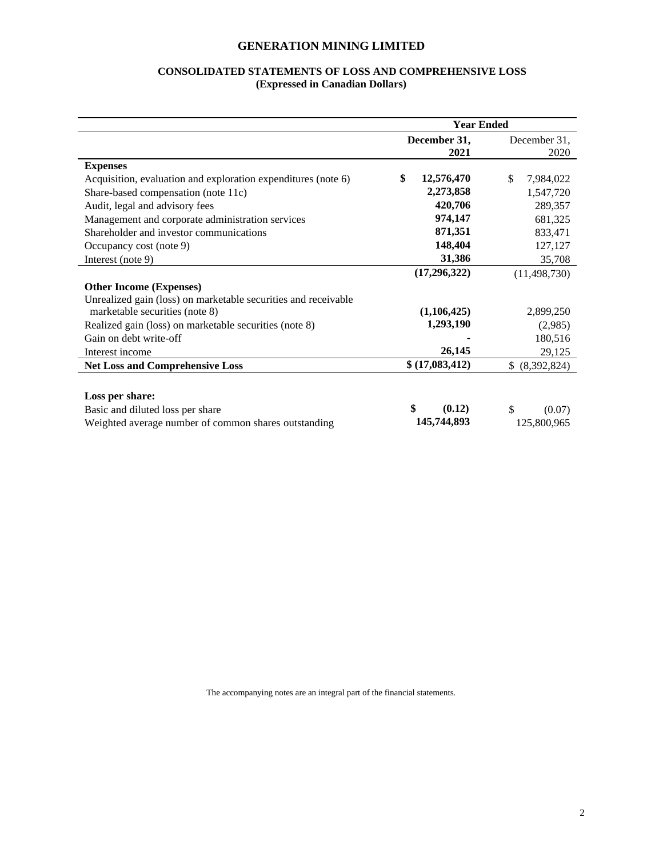## **CONSOLIDATED STATEMENTS OF LOSS AND COMPREHENSIVE LOSS (Expressed in Canadian Dollars)**

|                                                                | <b>Year Ended</b> |                  |  |
|----------------------------------------------------------------|-------------------|------------------|--|
|                                                                | December 31,      | December 31,     |  |
|                                                                | 2021              | 2020             |  |
| <b>Expenses</b>                                                |                   |                  |  |
| Acquisition, evaluation and exploration expenditures (note 6)  | \$<br>12,576,470  | \$.<br>7,984,022 |  |
| Share-based compensation (note 11c)                            | 2,273,858         | 1,547,720        |  |
| Audit, legal and advisory fees                                 | 420,706           | 289,357          |  |
| Management and corporate administration services               | 974,147           | 681,325          |  |
| Shareholder and investor communications                        | 871,351           | 833,471          |  |
| Occupancy cost (note 9)                                        | 148,404           | 127,127          |  |
| Interest (note 9)                                              | 31,386            | 35,708           |  |
|                                                                | (17,296,322)      | (11, 498, 730)   |  |
| <b>Other Income (Expenses)</b>                                 |                   |                  |  |
| Unrealized gain (loss) on marketable securities and receivable |                   |                  |  |
| marketable securities (note 8)                                 | (1,106,425)       | 2,899,250        |  |
| Realized gain (loss) on marketable securities (note 8)         | 1,293,190         | (2,985)          |  |
| Gain on debt write-off                                         |                   | 180,516          |  |
| Interest income                                                | 26,145            | 29,125           |  |
| <b>Net Loss and Comprehensive Loss</b>                         | \$(17,083,412)    | \$ (8,392,824)   |  |
|                                                                |                   |                  |  |
| Loss per share:                                                |                   |                  |  |
| Basic and diluted loss per share                               | \$<br>(0.12)      | \$<br>(0.07)     |  |
| Weighted average number of common shares outstanding           | 145,744,893       | 125,800,965      |  |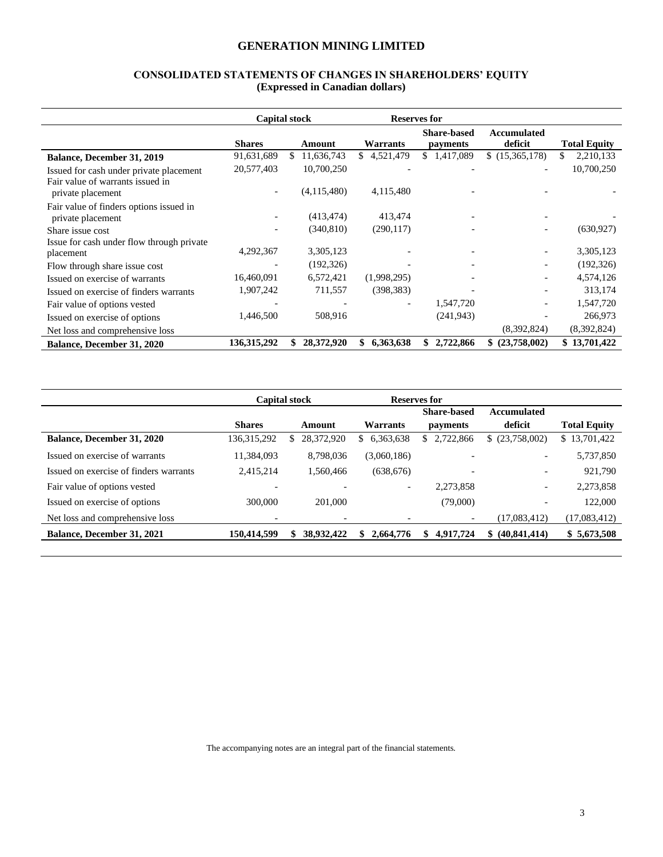## **CONSOLIDATED STATEMENTS OF CHANGES IN SHAREHOLDERS' EQUITY (Expressed in Canadian dollars)**

|                                                        |               | <b>Capital stock</b> |                          | <b>Reserves for</b>            |                               |                     |
|--------------------------------------------------------|---------------|----------------------|--------------------------|--------------------------------|-------------------------------|---------------------|
|                                                        | <b>Shares</b> | Amount               | Warrants                 | <b>Share-based</b><br>payments | <b>Accumulated</b><br>deficit | <b>Total Equity</b> |
| <b>Balance, December 31, 2019</b>                      | 91,631,689    | 11,636,743<br>S.     | 4,521,479<br>S.          | \$1,417,089                    | \$(15,365,178)                | 2,210,133<br>S.     |
| Issued for cash under private placement                | 20,577,403    | 10,700,250           |                          |                                |                               | 10,700,250          |
| Fair value of warrants issued in<br>private placement  |               | (4,115,480)          | 4,115,480                |                                |                               |                     |
| Fair value of finders options issued in                |               | (413, 474)           | 413,474                  |                                |                               |                     |
| private placement                                      |               |                      |                          |                                |                               |                     |
| Share issue cost                                       |               | (340, 810)           | (290, 117)               |                                |                               | (630, 927)          |
| Issue for cash under flow through private<br>placement | 4,292,367     | 3,305,123            |                          |                                |                               | 3,305,123           |
| Flow through share issue cost                          |               | (192, 326)           |                          |                                |                               | (192, 326)          |
| Issued on exercise of warrants                         | 16,460,091    | 6,572,421            | (1,998,295)              |                                |                               | 4,574,126           |
| Issued on exercise of finders warrants                 | 1,907,242     | 711,557              | (398, 383)               |                                |                               | 313,174             |
| Fair value of options vested                           |               |                      | $\overline{\phantom{a}}$ | 1,547,720                      |                               | 1,547,720           |
| Issued on exercise of options                          | 1,446,500     | 508,916              |                          | (241, 943)                     |                               | 266,973             |
| Net loss and comprehensive loss                        |               |                      |                          |                                | (8,392,824)                   | (8,392,824)         |
| Balance, December 31, 2020                             | 136, 315, 292 | 28,372,920           | 6,363,638<br>\$          | 2,722,866<br>S                 | (23,758,002)<br>S.            | \$13,701,422        |

|                                        | <b>Capital stock</b>     |                          |                          | Reserves for             |                          |                     |
|----------------------------------------|--------------------------|--------------------------|--------------------------|--------------------------|--------------------------|---------------------|
|                                        |                          |                          |                          | <b>Share-based</b>       | Accumulated              |                     |
|                                        | <b>Shares</b>            | Amount                   | Warrants                 | payments                 | deficit                  | <b>Total Equity</b> |
| <b>Balance, December 31, 2020</b>      | 136, 315, 292            | 28,372,920<br>S.         | 6,363,638<br>S.          | 2,722,866<br>S.          | \$ (23,758,002)          | \$13,701,422        |
| Issued on exercise of warrants         | 11,384,093               | 8,798,036                | (3,060,186)              |                          | $\overline{\phantom{a}}$ | 5,737,850           |
| Issued on exercise of finders warrants | 2,415,214                | 1,560,466                | (638, 676)               |                          | $\overline{\phantom{0}}$ | 921,790             |
| Fair value of options vested           |                          |                          | $\overline{\phantom{0}}$ | 2,273,858                | $\overline{\phantom{a}}$ | 2,273,858           |
| Issued on exercise of options          | 300,000                  | 201,000                  |                          | (79,000)                 |                          | 122,000             |
| Net loss and comprehensive loss        | $\overline{\phantom{a}}$ | $\overline{\phantom{a}}$ |                          | $\overline{\phantom{a}}$ | (17.083.412)             | (17,083,412)        |
| <b>Balance, December 31, 2021</b>      | 150,414,599              | 38,932,422<br>\$         | \$2,664,776              | \$<br>4.917.724          | \$ (40,841,414)          | \$5,673,508         |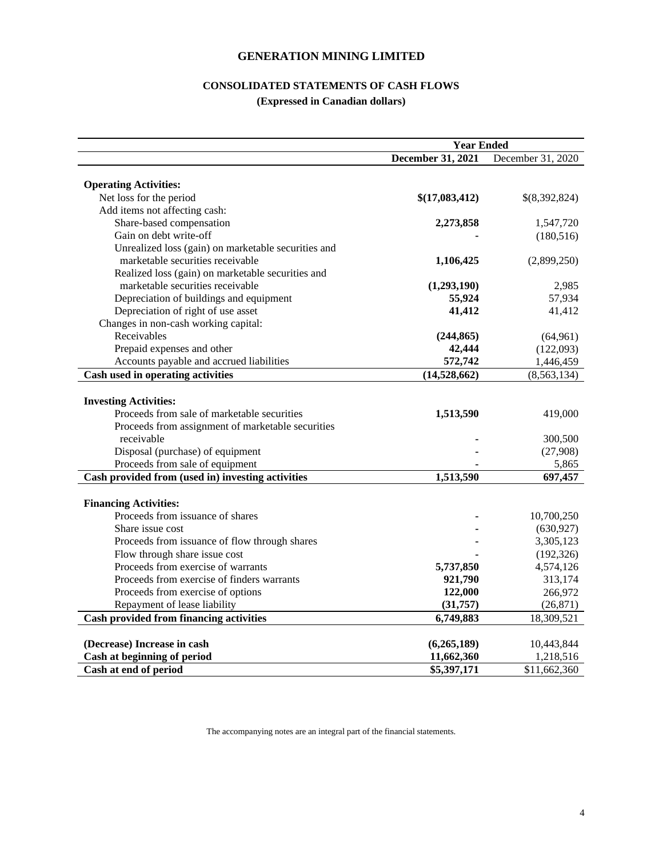## **CONSOLIDATED STATEMENTS OF CASH FLOWS**

**(Expressed in Canadian dollars)**

|                                                     | <b>Year Ended</b> |                   |  |  |  |
|-----------------------------------------------------|-------------------|-------------------|--|--|--|
|                                                     | December 31, 2021 | December 31, 2020 |  |  |  |
|                                                     |                   |                   |  |  |  |
| <b>Operating Activities:</b>                        |                   |                   |  |  |  |
| Net loss for the period                             | \$(17,083,412)    | \$(8,392,824)     |  |  |  |
| Add items not affecting cash:                       |                   |                   |  |  |  |
| Share-based compensation                            | 2,273,858         | 1,547,720         |  |  |  |
| Gain on debt write-off                              |                   | (180, 516)        |  |  |  |
| Unrealized loss (gain) on marketable securities and |                   |                   |  |  |  |
| marketable securities receivable                    | 1,106,425         | (2,899,250)       |  |  |  |
| Realized loss (gain) on marketable securities and   |                   |                   |  |  |  |
| marketable securities receivable                    | (1,293,190)       | 2,985             |  |  |  |
| Depreciation of buildings and equipment             | 55,924            | 57,934            |  |  |  |
| Depreciation of right of use asset                  | 41,412            | 41,412            |  |  |  |
| Changes in non-cash working capital:                |                   |                   |  |  |  |
| Receivables                                         | (244, 865)        | (64, 961)         |  |  |  |
| Prepaid expenses and other                          | 42,444            | (122,093)         |  |  |  |
| Accounts payable and accrued liabilities            | 572,742           | 1,446,459         |  |  |  |
| Cash used in operating activities                   | (14,528,662)      | (8, 563, 134)     |  |  |  |
|                                                     |                   |                   |  |  |  |
| <b>Investing Activities:</b>                        |                   |                   |  |  |  |
| Proceeds from sale of marketable securities         | 1,513,590         | 419,000           |  |  |  |
| Proceeds from assignment of marketable securities   |                   |                   |  |  |  |
| receivable                                          |                   | 300,500           |  |  |  |
| Disposal (purchase) of equipment                    |                   | (27,908)          |  |  |  |
| Proceeds from sale of equipment                     |                   | 5,865             |  |  |  |
| Cash provided from (used in) investing activities   | 1,513,590         | 697,457           |  |  |  |
|                                                     |                   |                   |  |  |  |
| <b>Financing Activities:</b>                        |                   |                   |  |  |  |
| Proceeds from issuance of shares                    |                   | 10,700,250        |  |  |  |
| Share issue cost                                    |                   | (630, 927)        |  |  |  |
| Proceeds from issuance of flow through shares       |                   | 3,305,123         |  |  |  |
| Flow through share issue cost                       |                   | (192, 326)        |  |  |  |
| Proceeds from exercise of warrants                  | 5,737,850         | 4,574,126         |  |  |  |
| Proceeds from exercise of finders warrants          | 921,790           | 313,174           |  |  |  |
| Proceeds from exercise of options                   | 122,000           | 266,972           |  |  |  |
| Repayment of lease liability                        | (31, 757)         | (26, 871)         |  |  |  |
| Cash provided from financing activities             | 6,749,883         | 18,309,521        |  |  |  |
|                                                     |                   |                   |  |  |  |
| (Decrease) Increase in cash                         | (6,265,189)       | 10,443,844        |  |  |  |
| Cash at beginning of period                         | 11,662,360        | 1,218,516         |  |  |  |
| Cash at end of period                               | \$5,397,171       | \$11,662,360      |  |  |  |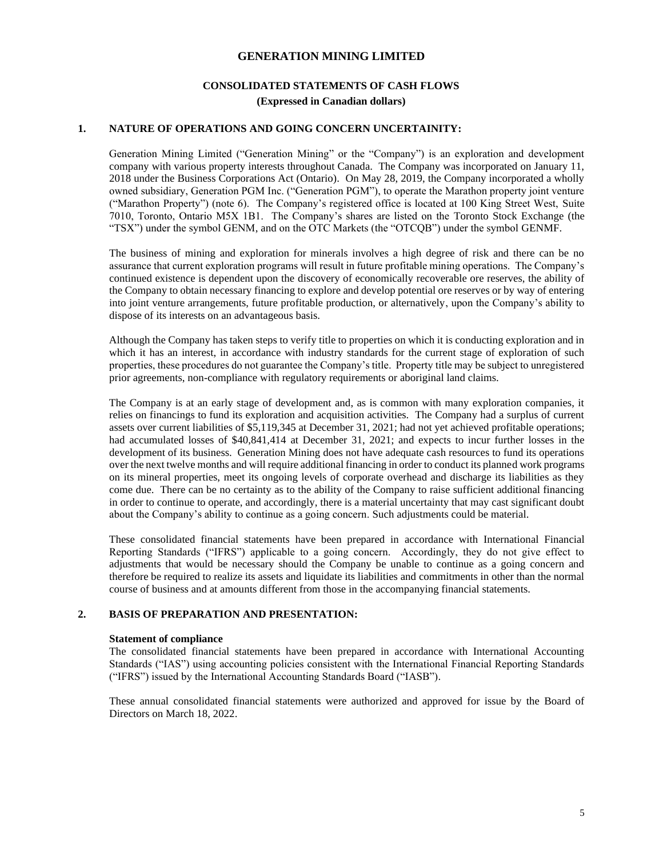## **CONSOLIDATED STATEMENTS OF CASH FLOWS (Expressed in Canadian dollars)**

#### **1. NATURE OF OPERATIONS AND GOING CONCERN UNCERTAINITY:**

Generation Mining Limited ("Generation Mining" or the "Company") is an exploration and development company with various property interests throughout Canada. The Company was incorporated on January 11, 2018 under the Business Corporations Act (Ontario). On May 28, 2019, the Company incorporated a wholly owned subsidiary, Generation PGM Inc. ("Generation PGM"), to operate the Marathon property joint venture ("Marathon Property") (note 6). The Company's registered office is located at 100 King Street West, Suite 7010, Toronto, Ontario M5X 1B1. The Company's shares are listed on the Toronto Stock Exchange (the "TSX") under the symbol GENM, and on the OTC Markets (the "OTCQB") under the symbol GENMF.

The business of mining and exploration for minerals involves a high degree of risk and there can be no assurance that current exploration programs will result in future profitable mining operations. The Company's continued existence is dependent upon the discovery of economically recoverable ore reserves, the ability of the Company to obtain necessary financing to explore and develop potential ore reserves or by way of entering into joint venture arrangements, future profitable production, or alternatively, upon the Company's ability to dispose of its interests on an advantageous basis.

Although the Company has taken steps to verify title to properties on which it is conducting exploration and in which it has an interest, in accordance with industry standards for the current stage of exploration of such properties, these procedures do not guarantee the Company's title. Property title may be subject to unregistered prior agreements, non-compliance with regulatory requirements or aboriginal land claims.

The Company is at an early stage of development and, as is common with many exploration companies, it relies on financings to fund its exploration and acquisition activities. The Company had a surplus of current assets over current liabilities of \$5,119,345 at December 31, 2021; had not yet achieved profitable operations; had accumulated losses of \$40,841,414 at December 31, 2021; and expects to incur further losses in the development of its business. Generation Mining does not have adequate cash resources to fund its operations over the next twelve months and will require additional financing in order to conduct its planned work programs on its mineral properties, meet its ongoing levels of corporate overhead and discharge its liabilities as they come due. There can be no certainty as to the ability of the Company to raise sufficient additional financing in order to continue to operate, and accordingly, there is a material uncertainty that may cast significant doubt about the Company's ability to continue as a going concern. Such adjustments could be material.

These consolidated financial statements have been prepared in accordance with International Financial Reporting Standards ("IFRS") applicable to a going concern. Accordingly, they do not give effect to adjustments that would be necessary should the Company be unable to continue as a going concern and therefore be required to realize its assets and liquidate its liabilities and commitments in other than the normal course of business and at amounts different from those in the accompanying financial statements.

#### **2. BASIS OF PREPARATION AND PRESENTATION:**

#### **Statement of compliance**

The consolidated financial statements have been prepared in accordance with International Accounting Standards ("IAS") using accounting policies consistent with the International Financial Reporting Standards ("IFRS") issued by the International Accounting Standards Board ("IASB").

These annual consolidated financial statements were authorized and approved for issue by the Board of Directors on March 18, 2022.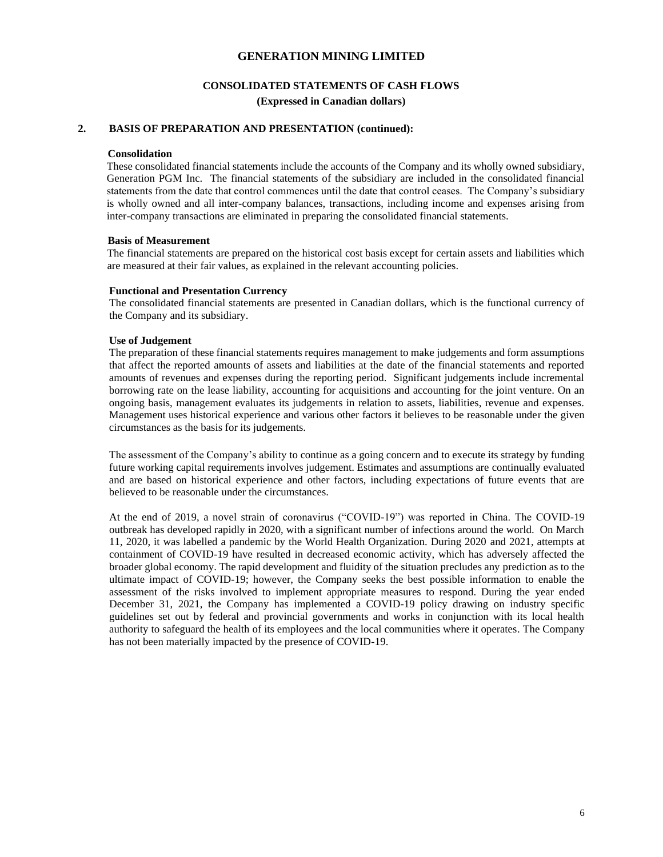## **CONSOLIDATED STATEMENTS OF CASH FLOWS**

**(Expressed in Canadian dollars)**

## **2. BASIS OF PREPARATION AND PRESENTATION (continued):**

#### **Consolidation**

These consolidated financial statements include the accounts of the Company and its wholly owned subsidiary, Generation PGM Inc. The financial statements of the subsidiary are included in the consolidated financial statements from the date that control commences until the date that control ceases. The Company's subsidiary is wholly owned and all inter-company balances, transactions, including income and expenses arising from inter-company transactions are eliminated in preparing the consolidated financial statements.

#### **Basis of Measurement**

The financial statements are prepared on the historical cost basis except for certain assets and liabilities which are measured at their fair values, as explained in the relevant accounting policies.

#### **Functional and Presentation Currency**

The consolidated financial statements are presented in Canadian dollars, which is the functional currency of the Company and its subsidiary.

#### **Use of Judgement**

The preparation of these financial statements requires management to make judgements and form assumptions that affect the reported amounts of assets and liabilities at the date of the financial statements and reported amounts of revenues and expenses during the reporting period. Significant judgements include incremental borrowing rate on the lease liability, accounting for acquisitions and accounting for the joint venture. On an ongoing basis, management evaluates its judgements in relation to assets, liabilities, revenue and expenses. Management uses historical experience and various other factors it believes to be reasonable under the given circumstances as the basis for its judgements.

The assessment of the Company's ability to continue as a going concern and to execute its strategy by funding future working capital requirements involves judgement. Estimates and assumptions are continually evaluated and are based on historical experience and other factors, including expectations of future events that are believed to be reasonable under the circumstances.

At the end of 2019, a novel strain of coronavirus ("COVID-19") was reported in China. The COVID-19 outbreak has developed rapidly in 2020, with a significant number of infections around the world. On March 11, 2020, it was labelled a pandemic by the World Health Organization. During 2020 and 2021, attempts at containment of COVID-19 have resulted in decreased economic activity, which has adversely affected the broader global economy. The rapid development and fluidity of the situation precludes any prediction as to the ultimate impact of COVID-19; however, the Company seeks the best possible information to enable the assessment of the risks involved to implement appropriate measures to respond. During the year ended December 31, 2021, the Company has implemented a COVID-19 policy drawing on industry specific guidelines set out by federal and provincial governments and works in conjunction with its local health authority to safeguard the health of its employees and the local communities where it operates. The Company has not been materially impacted by the presence of COVID-19.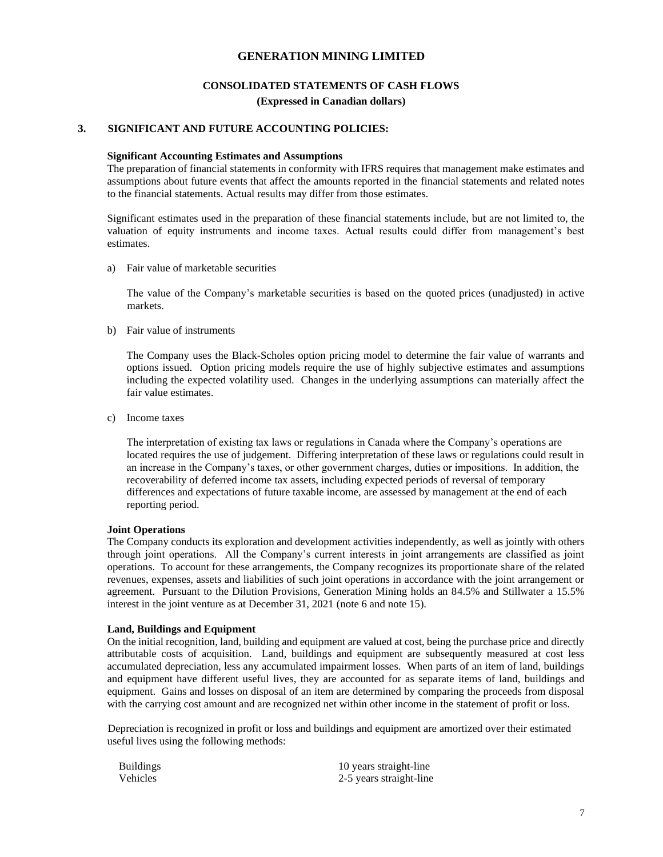#### **CONSOLIDATED STATEMENTS OF CASH FLOWS**

#### **(Expressed in Canadian dollars)**

#### **3. SIGNIFICANT AND FUTURE ACCOUNTING POLICIES:**

#### **Significant Accounting Estimates and Assumptions**

The preparation of financial statements in conformity with IFRS requires that management make estimates and assumptions about future events that affect the amounts reported in the financial statements and related notes to the financial statements. Actual results may differ from those estimates.

Significant estimates used in the preparation of these financial statements include, but are not limited to, the valuation of equity instruments and income taxes. Actual results could differ from management's best estimates.

a) Fair value of marketable securities

The value of the Company's marketable securities is based on the quoted prices (unadjusted) in active markets.

b) Fair value of instruments

The Company uses the Black-Scholes option pricing model to determine the fair value of warrants and options issued. Option pricing models require the use of highly subjective estimates and assumptions including the expected volatility used. Changes in the underlying assumptions can materially affect the fair value estimates.

c) Income taxes

The interpretation of existing tax laws or regulations in Canada where the Company's operations are located requires the use of judgement. Differing interpretation of these laws or regulations could result in an increase in the Company's taxes, or other government charges, duties or impositions. In addition, the recoverability of deferred income tax assets, including expected periods of reversal of temporary differences and expectations of future taxable income, are assessed by management at the end of each reporting period.

#### **Joint Operations**

The Company conducts its exploration and development activities independently, as well as jointly with others through joint operations. All the Company's current interests in joint arrangements are classified as joint operations. To account for these arrangements, the Company recognizes its proportionate share of the related revenues, expenses, assets and liabilities of such joint operations in accordance with the joint arrangement or agreement. Pursuant to the Dilution Provisions, Generation Mining holds an 84.5% and Stillwater a 15.5% interest in the joint venture as at December 31, 2021 (note 6 and note 15).

#### **Land, Buildings and Equipment**

On the initial recognition, land, building and equipment are valued at cost, being the purchase price and directly attributable costs of acquisition. Land, buildings and equipment are subsequently measured at cost less accumulated depreciation, less any accumulated impairment losses. When parts of an item of land, buildings and equipment have different useful lives, they are accounted for as separate items of land, buildings and equipment. Gains and losses on disposal of an item are determined by comparing the proceeds from disposal with the carrying cost amount and are recognized net within other income in the statement of profit or loss.

 Depreciation is recognized in profit or loss and buildings and equipment are amortized over their estimated useful lives using the following methods:

| <b>Buildings</b> | 10 years straight-line  |
|------------------|-------------------------|
| Vehicles         | 2-5 years straight-line |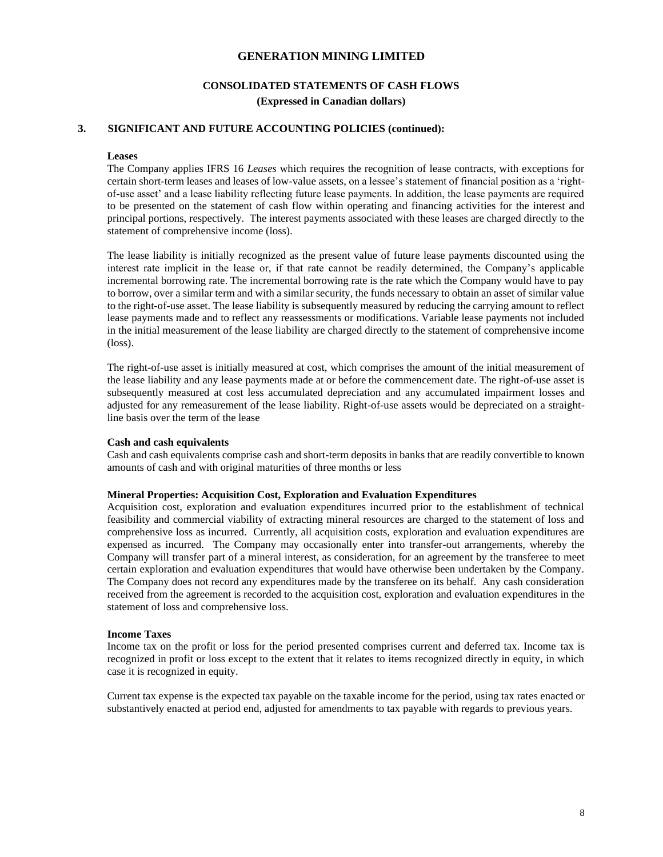## **CONSOLIDATED STATEMENTS OF CASH FLOWS (Expressed in Canadian dollars)**

## **3. SIGNIFICANT AND FUTURE ACCOUNTING POLICIES (continued):**

#### **Leases**

The Company applies IFRS 16 *Leases* which requires the recognition of lease contracts, with exceptions for certain short-term leases and leases of low-value assets, on a lessee's statement of financial position as a 'rightof-use asset' and a lease liability reflecting future lease payments. In addition, the lease payments are required to be presented on the statement of cash flow within operating and financing activities for the interest and principal portions, respectively. The interest payments associated with these leases are charged directly to the statement of comprehensive income (loss).

The lease liability is initially recognized as the present value of future lease payments discounted using the interest rate implicit in the lease or, if that rate cannot be readily determined, the Company's applicable incremental borrowing rate. The incremental borrowing rate is the rate which the Company would have to pay to borrow, over a similar term and with a similar security, the funds necessary to obtain an asset of similar value to the right-of-use asset. The lease liability is subsequently measured by reducing the carrying amount to reflect lease payments made and to reflect any reassessments or modifications. Variable lease payments not included in the initial measurement of the lease liability are charged directly to the statement of comprehensive income (loss).

The right-of-use asset is initially measured at cost, which comprises the amount of the initial measurement of the lease liability and any lease payments made at or before the commencement date. The right-of-use asset is subsequently measured at cost less accumulated depreciation and any accumulated impairment losses and adjusted for any remeasurement of the lease liability. Right-of-use assets would be depreciated on a straightline basis over the term of the lease

#### **Cash and cash equivalents**

Cash and cash equivalents comprise cash and short-term deposits in banks that are readily convertible to known amounts of cash and with original maturities of three months or less

#### **Mineral Properties: Acquisition Cost, Exploration and Evaluation Expenditures**

Acquisition cost, exploration and evaluation expenditures incurred prior to the establishment of technical feasibility and commercial viability of extracting mineral resources are charged to the statement of loss and comprehensive loss as incurred. Currently, all acquisition costs, exploration and evaluation expenditures are expensed as incurred. The Company may occasionally enter into transfer-out arrangements, whereby the Company will transfer part of a mineral interest, as consideration, for an agreement by the transferee to meet certain exploration and evaluation expenditures that would have otherwise been undertaken by the Company. The Company does not record any expenditures made by the transferee on its behalf. Any cash consideration received from the agreement is recorded to the acquisition cost, exploration and evaluation expenditures in the statement of loss and comprehensive loss.

#### **Income Taxes**

Income tax on the profit or loss for the period presented comprises current and deferred tax. Income tax is recognized in profit or loss except to the extent that it relates to items recognized directly in equity, in which case it is recognized in equity.

Current tax expense is the expected tax payable on the taxable income for the period, using tax rates enacted or substantively enacted at period end, adjusted for amendments to tax payable with regards to previous years.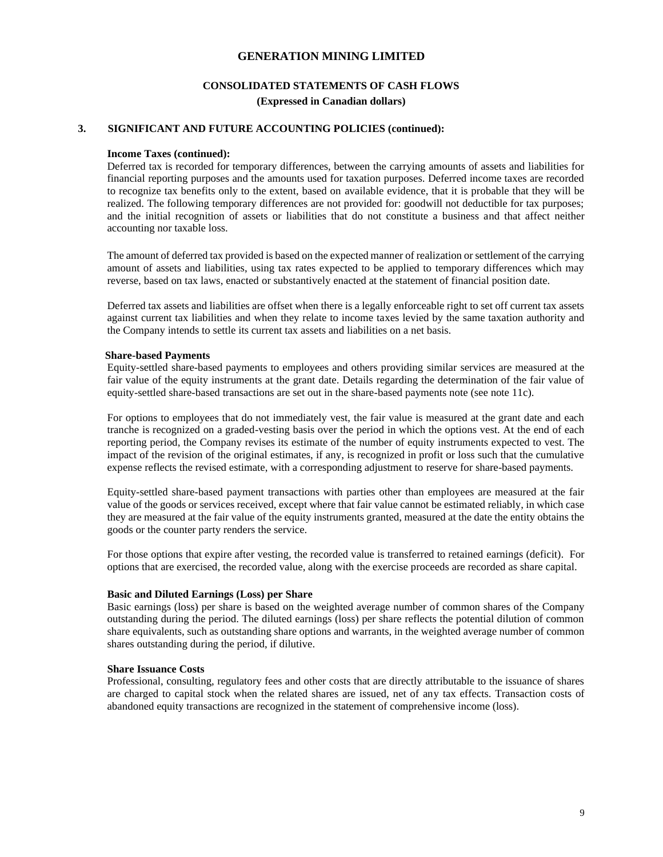## **CONSOLIDATED STATEMENTS OF CASH FLOWS (Expressed in Canadian dollars)**

#### **3. SIGNIFICANT AND FUTURE ACCOUNTING POLICIES (continued):**

#### **Income Taxes (continued):**

Deferred tax is recorded for temporary differences, between the carrying amounts of assets and liabilities for financial reporting purposes and the amounts used for taxation purposes. Deferred income taxes are recorded to recognize tax benefits only to the extent, based on available evidence, that it is probable that they will be realized. The following temporary differences are not provided for: goodwill not deductible for tax purposes; and the initial recognition of assets or liabilities that do not constitute a business and that affect neither accounting nor taxable loss.

The amount of deferred tax provided is based on the expected manner of realization or settlement of the carrying amount of assets and liabilities, using tax rates expected to be applied to temporary differences which may reverse, based on tax laws, enacted or substantively enacted at the statement of financial position date.

Deferred tax assets and liabilities are offset when there is a legally enforceable right to set off current tax assets against current tax liabilities and when they relate to income taxes levied by the same taxation authority and the Company intends to settle its current tax assets and liabilities on a net basis.

#### **Share-based Payments**

Equity-settled share-based payments to employees and others providing similar services are measured at the fair value of the equity instruments at the grant date. Details regarding the determination of the fair value of equity-settled share-based transactions are set out in the share-based payments note (see note 11c).

For options to employees that do not immediately vest, the fair value is measured at the grant date and each tranche is recognized on a graded-vesting basis over the period in which the options vest. At the end of each reporting period, the Company revises its estimate of the number of equity instruments expected to vest. The impact of the revision of the original estimates, if any, is recognized in profit or loss such that the cumulative expense reflects the revised estimate, with a corresponding adjustment to reserve for share-based payments.

Equity-settled share-based payment transactions with parties other than employees are measured at the fair value of the goods or services received, except where that fair value cannot be estimated reliably, in which case they are measured at the fair value of the equity instruments granted, measured at the date the entity obtains the goods or the counter party renders the service.

For those options that expire after vesting, the recorded value is transferred to retained earnings (deficit). For options that are exercised, the recorded value, along with the exercise proceeds are recorded as share capital.

#### **Basic and Diluted Earnings (Loss) per Share**

Basic earnings (loss) per share is based on the weighted average number of common shares of the Company outstanding during the period. The diluted earnings (loss) per share reflects the potential dilution of common share equivalents, such as outstanding share options and warrants, in the weighted average number of common shares outstanding during the period, if dilutive.

#### **Share Issuance Costs**

Professional, consulting, regulatory fees and other costs that are directly attributable to the issuance of shares are charged to capital stock when the related shares are issued, net of any tax effects. Transaction costs of abandoned equity transactions are recognized in the statement of comprehensive income (loss).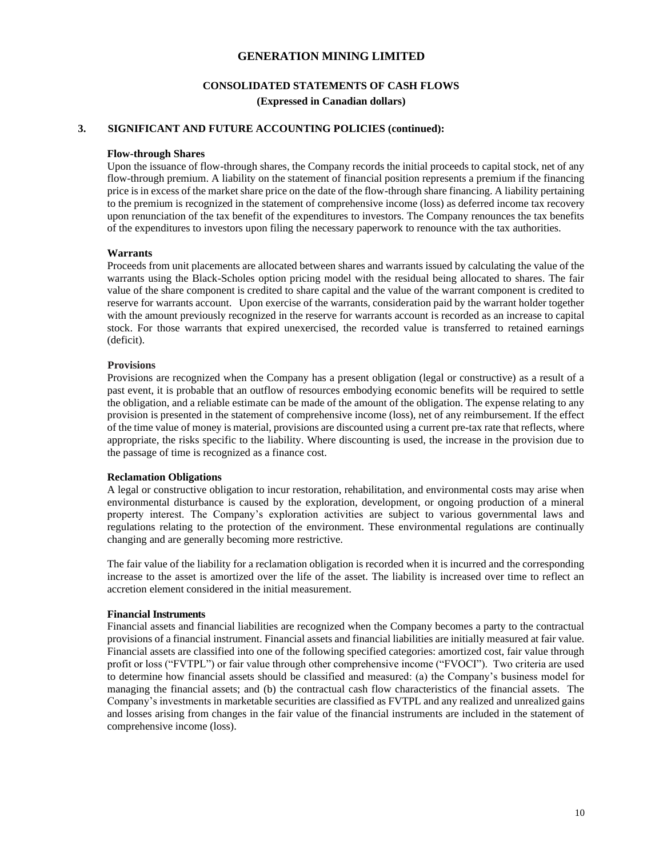## **CONSOLIDATED STATEMENTS OF CASH FLOWS**

**(Expressed in Canadian dollars)**

## **3. SIGNIFICANT AND FUTURE ACCOUNTING POLICIES (continued):**

#### **Flow-through Shares**

Upon the issuance of flow-through shares, the Company records the initial proceeds to capital stock, net of any flow-through premium. A liability on the statement of financial position represents a premium if the financing price is in excess of the market share price on the date of the flow-through share financing. A liability pertaining to the premium is recognized in the statement of comprehensive income (loss) as deferred income tax recovery upon renunciation of the tax benefit of the expenditures to investors. The Company renounces the tax benefits of the expenditures to investors upon filing the necessary paperwork to renounce with the tax authorities.

#### **Warrants**

Proceeds from unit placements are allocated between shares and warrants issued by calculating the value of the warrants using the Black-Scholes option pricing model with the residual being allocated to shares. The fair value of the share component is credited to share capital and the value of the warrant component is credited to reserve for warrants account. Upon exercise of the warrants, consideration paid by the warrant holder together with the amount previously recognized in the reserve for warrants account is recorded as an increase to capital stock. For those warrants that expired unexercised, the recorded value is transferred to retained earnings (deficit).

#### **Provisions**

Provisions are recognized when the Company has a present obligation (legal or constructive) as a result of a past event, it is probable that an outflow of resources embodying economic benefits will be required to settle the obligation, and a reliable estimate can be made of the amount of the obligation. The expense relating to any provision is presented in the statement of comprehensive income (loss), net of any reimbursement. If the effect of the time value of money is material, provisions are discounted using a current pre-tax rate that reflects, where appropriate, the risks specific to the liability. Where discounting is used, the increase in the provision due to the passage of time is recognized as a finance cost.

#### **Reclamation Obligations**

A legal or constructive obligation to incur restoration, rehabilitation, and environmental costs may arise when environmental disturbance is caused by the exploration, development, or ongoing production of a mineral property interest. The Company's exploration activities are subject to various governmental laws and regulations relating to the protection of the environment. These environmental regulations are continually changing and are generally becoming more restrictive.

The fair value of the liability for a reclamation obligation is recorded when it is incurred and the corresponding increase to the asset is amortized over the life of the asset. The liability is increased over time to reflect an accretion element considered in the initial measurement.

#### **Financial Instruments**

Financial assets and financial liabilities are recognized when the Company becomes a party to the contractual provisions of a financial instrument. Financial assets and financial liabilities are initially measured at fair value. Financial assets are classified into one of the following specified categories: amortized cost, fair value through profit or loss ("FVTPL") or fair value through other comprehensive income ("FVOCI"). Two criteria are used to determine how financial assets should be classified and measured: (a) the Company's business model for managing the financial assets; and (b) the contractual cash flow characteristics of the financial assets. The Company's investments in marketable securities are classified as FVTPL and any realized and unrealized gains and losses arising from changes in the fair value of the financial instruments are included in the statement of comprehensive income (loss).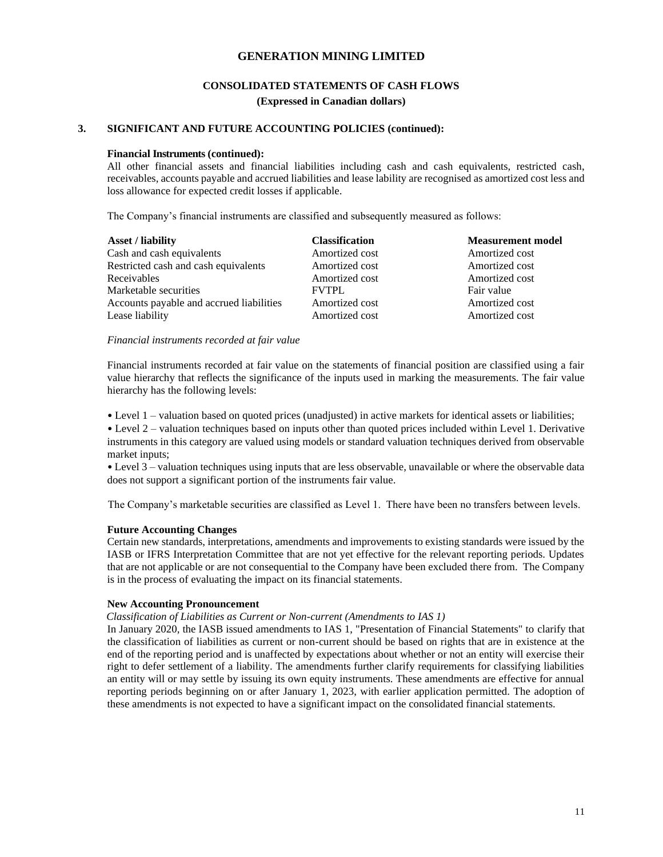## **CONSOLIDATED STATEMENTS OF CASH FLOWS**

**(Expressed in Canadian dollars)**

## **3. SIGNIFICANT AND FUTURE ACCOUNTING POLICIES (continued):**

#### **Financial Instruments (continued):**

All other financial assets and financial liabilities including cash and cash equivalents, restricted cash, receivables, accounts payable and accrued liabilities and lease lability are recognised as amortized cost less and loss allowance for expected credit losses if applicable.

The Company's financial instruments are classified and subsequently measured as follows:

| <b>Asset / liability</b>                 | <b>Classification</b> | <b>Measurement model</b> |
|------------------------------------------|-----------------------|--------------------------|
| Cash and cash equivalents                | Amortized cost        | Amortized cost           |
| Restricted cash and cash equivalents     | Amortized cost        | Amortized cost           |
| Receivables                              | Amortized cost        | Amortized cost           |
| Marketable securities                    | <b>FVTPL</b>          | Fair value               |
| Accounts payable and accrued liabilities | Amortized cost        | Amortized cost           |
| Lease liability                          | Amortized cost        | Amortized cost           |

## *Financial instruments recorded at fair value*

Financial instruments recorded at fair value on the statements of financial position are classified using a fair value hierarchy that reflects the significance of the inputs used in marking the measurements. The fair value hierarchy has the following levels:

• Level 1 – valuation based on quoted prices (unadjusted) in active markets for identical assets or liabilities;

• Level 2 – valuation techniques based on inputs other than quoted prices included within Level 1. Derivative instruments in this category are valued using models or standard valuation techniques derived from observable market inputs;

• Level 3 – valuation techniques using inputs that are less observable, unavailable or where the observable data does not support a significant portion of the instruments fair value.

The Company's marketable securities are classified as Level 1. There have been no transfers between levels.

#### **Future Accounting Changes**

Certain new standards, interpretations, amendments and improvements to existing standards were issued by the IASB or IFRS Interpretation Committee that are not yet effective for the relevant reporting periods. Updates that are not applicable or are not consequential to the Company have been excluded there from. The Company is in the process of evaluating the impact on its financial statements.

#### **New Accounting Pronouncement**

*Classification of Liabilities as Current or Non-current (Amendments to IAS 1)*

In January 2020, the IASB issued amendments to IAS 1, "Presentation of Financial Statements" to clarify that the classification of liabilities as current or non-current should be based on rights that are in existence at the end of the reporting period and is unaffected by expectations about whether or not an entity will exercise their right to defer settlement of a liability. The amendments further clarify requirements for classifying liabilities an entity will or may settle by issuing its own equity instruments. These amendments are effective for annual reporting periods beginning on or after January 1, 2023, with earlier application permitted. The adoption of these amendments is not expected to have a significant impact on the consolidated financial statements.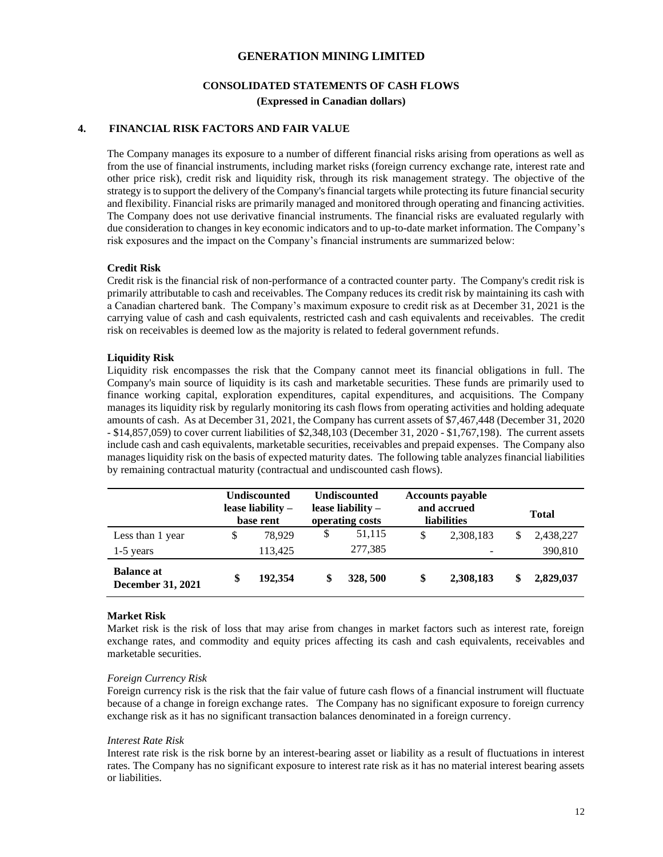### **CONSOLIDATED STATEMENTS OF CASH FLOWS**

**(Expressed in Canadian dollars)**

#### **4. FINANCIAL RISK FACTORS AND FAIR VALUE**

The Company manages its exposure to a number of different financial risks arising from operations as well as from the use of financial instruments, including market risks (foreign currency exchange rate, interest rate and other price risk), credit risk and liquidity risk, through its risk management strategy. The objective of the strategy is to support the delivery of the Company's financial targets while protecting its future financial security and flexibility. Financial risks are primarily managed and monitored through operating and financing activities. The Company does not use derivative financial instruments. The financial risks are evaluated regularly with due consideration to changes in key economic indicators and to up-to-date market information. The Company's risk exposures and the impact on the Company's financial instruments are summarized below:

#### **Credit Risk**

Credit risk is the financial risk of non-performance of a contracted counter party. The Company's credit risk is primarily attributable to cash and receivables. The Company reduces its credit risk by maintaining its cash with a Canadian chartered bank. The Company's maximum exposure to credit risk as at December 31, 2021 is the carrying value of cash and cash equivalents, restricted cash and cash equivalents and receivables. The credit risk on receivables is deemed low as the majority is related to federal government refunds.

#### **Liquidity Risk**

Liquidity risk encompasses the risk that the Company cannot meet its financial obligations in full. The Company's main source of liquidity is its cash and marketable securities. These funds are primarily used to finance working capital, exploration expenditures, capital expenditures, and acquisitions. The Company manages its liquidity risk by regularly monitoring its cash flows from operating activities and holding adequate amounts of cash. As at December 31, 2021, the Company has current assets of \$7,467,448 (December 31, 2020 - \$14,857,059) to cover current liabilities of \$2,348,103 (December 31, 2020 - \$1,767,198). The current assets include cash and cash equivalents, marketable securities, receivables and prepaid expenses. The Company also manages liquidity risk on the basis of expected maturity dates. The following table analyzes financial liabilities by remaining contractual maturity (contractual and undiscounted cash flows).

|                                               | <b>Undiscounted</b><br>lease liability –<br>base rent | <b>Undiscounted</b><br>lease liability $-$<br>operating costs |          | <b>Accounts payable</b><br>and accrued<br><b>liabilities</b> |                          | <b>Total</b> |           |
|-----------------------------------------------|-------------------------------------------------------|---------------------------------------------------------------|----------|--------------------------------------------------------------|--------------------------|--------------|-----------|
| Less than 1 year                              | \$<br>78.929                                          | \$                                                            | 51.115   | \$                                                           | 2,308,183                | \$           | 2,438,227 |
| $1-5$ years                                   | 113,425                                               |                                                               | 277,385  |                                                              | $\overline{\phantom{a}}$ |              | 390,810   |
| <b>Balance at</b><br><b>December 31, 2021</b> | \$<br>192.354                                         | \$                                                            | 328, 500 | \$                                                           | 2,308,183                | \$           | 2,829,037 |

#### **Market Risk**

Market risk is the risk of loss that may arise from changes in market factors such as interest rate, foreign exchange rates, and commodity and equity prices affecting its cash and cash equivalents, receivables and marketable securities.

#### *Foreign Currency Risk*

Foreign currency risk is the risk that the fair value of future cash flows of a financial instrument will fluctuate because of a change in foreign exchange rates. The Company has no significant exposure to foreign currency exchange risk as it has no significant transaction balances denominated in a foreign currency.

#### *Interest Rate Risk*

Interest rate risk is the risk borne by an interest-bearing asset or liability as a result of fluctuations in interest rates. The Company has no significant exposure to interest rate risk as it has no material interest bearing assets or liabilities.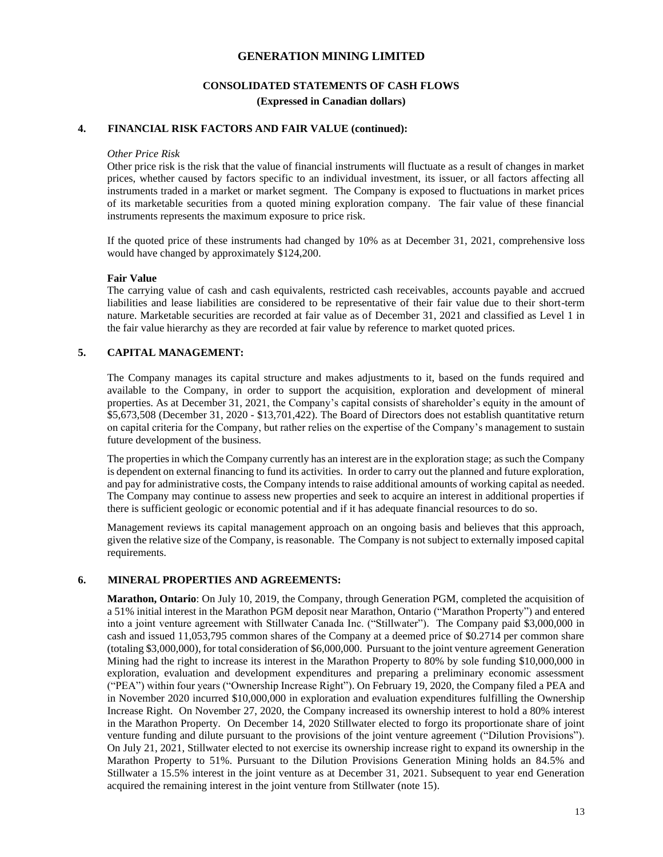# **CONSOLIDATED STATEMENTS OF CASH FLOWS**

## **(Expressed in Canadian dollars)**

## **4. FINANCIAL RISK FACTORS AND FAIR VALUE (continued):**

#### *Other Price Risk*

Other price risk is the risk that the value of financial instruments will fluctuate as a result of changes in market prices, whether caused by factors specific to an individual investment, its issuer, or all factors affecting all instruments traded in a market or market segment. The Company is exposed to fluctuations in market prices of its marketable securities from a quoted mining exploration company. The fair value of these financial instruments represents the maximum exposure to price risk.

If the quoted price of these instruments had changed by 10% as at December 31, 2021, comprehensive loss would have changed by approximately \$124,200.

#### **Fair Value**

The carrying value of cash and cash equivalents, restricted cash receivables, accounts payable and accrued liabilities and lease liabilities are considered to be representative of their fair value due to their short-term nature. Marketable securities are recorded at fair value as of December 31, 2021 and classified as Level 1 in the fair value hierarchy as they are recorded at fair value by reference to market quoted prices.

#### **5. CAPITAL MANAGEMENT:**

The Company manages its capital structure and makes adjustments to it, based on the funds required and available to the Company, in order to support the acquisition, exploration and development of mineral properties. As at December 31, 2021, the Company's capital consists of shareholder's equity in the amount of \$5,673,508 (December 31, 2020 - \$13,701,422). The Board of Directors does not establish quantitative return on capital criteria for the Company, but rather relies on the expertise of the Company's management to sustain future development of the business.

The properties in which the Company currently has an interest are in the exploration stage; as such the Company is dependent on external financing to fund its activities. In order to carry out the planned and future exploration, and pay for administrative costs, the Company intends to raise additional amounts of working capital as needed. The Company may continue to assess new properties and seek to acquire an interest in additional properties if there is sufficient geologic or economic potential and if it has adequate financial resources to do so.

Management reviews its capital management approach on an ongoing basis and believes that this approach, given the relative size of the Company, is reasonable. The Company is not subject to externally imposed capital requirements.

#### **6. MINERAL PROPERTIES AND AGREEMENTS:**

**Marathon, Ontario**: On July 10, 2019, the Company, through Generation PGM, completed the acquisition of a 51% initial interest in the Marathon PGM deposit near Marathon, Ontario ("Marathon Property") and entered into a joint venture agreement with Stillwater Canada Inc. ("Stillwater"). The Company paid \$3,000,000 in cash and issued 11,053,795 common shares of the Company at a deemed price of \$0.2714 per common share (totaling \$3,000,000), for total consideration of \$6,000,000. Pursuant to the joint venture agreement Generation Mining had the right to increase its interest in the Marathon Property to 80% by sole funding \$10,000,000 in exploration, evaluation and development expenditures and preparing a preliminary economic assessment ("PEA") within four years ("Ownership Increase Right"). On February 19, 2020, the Company filed a PEA and in November 2020 incurred \$10,000,000 in exploration and evaluation expenditures fulfilling the Ownership Increase Right. On November 27, 2020, the Company increased its ownership interest to hold a 80% interest in the Marathon Property. On December 14, 2020 Stillwater elected to forgo its proportionate share of joint venture funding and dilute pursuant to the provisions of the joint venture agreement ("Dilution Provisions"). On July 21, 2021, Stillwater elected to not exercise its ownership increase right to expand its ownership in the Marathon Property to 51%. Pursuant to the Dilution Provisions Generation Mining holds an 84.5% and Stillwater a 15.5% interest in the joint venture as at December 31, 2021. Subsequent to year end Generation acquired the remaining interest in the joint venture from Stillwater (note 15).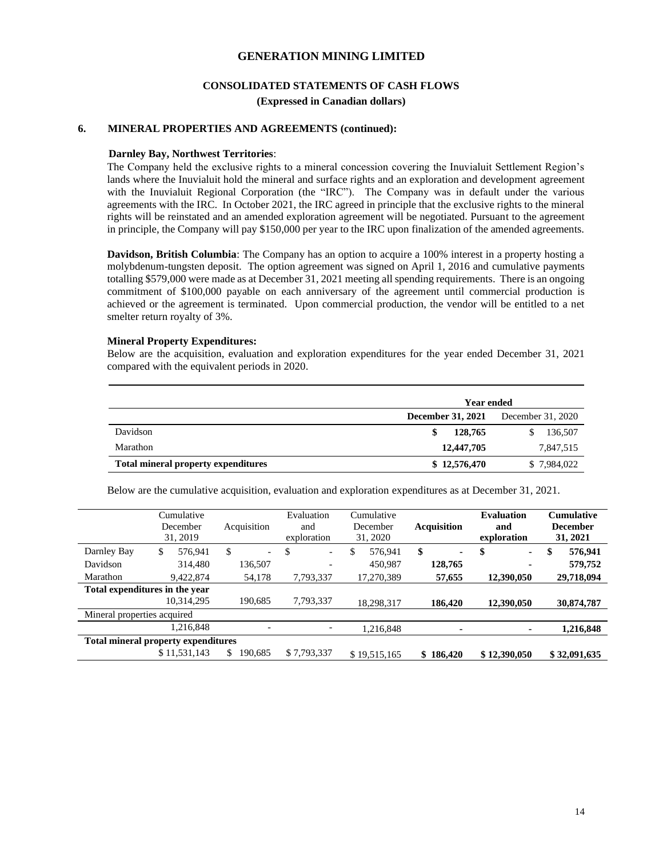# **CONSOLIDATED STATEMENTS OF CASH FLOWS**

**(Expressed in Canadian dollars)**

## **6. MINERAL PROPERTIES AND AGREEMENTS (continued):**

#### **Darnley Bay, Northwest Territories**:

The Company held the exclusive rights to a mineral concession covering the Inuvialuit Settlement Region's lands where the Inuvialuit hold the mineral and surface rights and an exploration and development agreement with the Inuvialuit Regional Corporation (the "IRC"). The Company was in default under the various agreements with the IRC. In October 2021, the IRC agreed in principle that the exclusive rights to the mineral rights will be reinstated and an amended exploration agreement will be negotiated. Pursuant to the agreement in principle, the Company will pay \$150,000 per year to the IRC upon finalization of the amended agreements.

**Davidson, British Columbia**: The Company has an option to acquire a 100% interest in a property hosting a molybdenum-tungsten deposit. The option agreement was signed on April 1, 2016 and cumulative payments totalling \$579,000 were made as at December 31, 2021 meeting all spending requirements. There is an ongoing commitment of \$100,000 payable on each anniversary of the agreement until commercial production is achieved or the agreement is terminated. Upon commercial production, the vendor will be entitled to a net smelter return royalty of 3%.

#### **Mineral Property Expenditures:**

Below are the acquisition, evaluation and exploration expenditures for the year ended December 31, 2021 compared with the equivalent periods in 2020.

|                                            | <b>Year ended</b> |                   |
|--------------------------------------------|-------------------|-------------------|
|                                            | December 31, 2021 | December 31, 2020 |
| Davidson                                   | 128,765           | 136,507           |
| Marathon                                   | 12,447,705        | 7,847,515         |
| <b>Total mineral property expenditures</b> | \$12,576,470      | \$7,984,022       |

Below are the cumulative acquisition, evaluation and exploration expenditures as at December 31, 2021.

|                                            | Cumulative<br>December<br>31, 2019 | Acquisition                    | Evaluation<br>and<br>exploration | Cumulative<br>December<br>31, 2020 | <b>Acquisition</b> | <b>Evaluation</b><br>and<br>exploration | <b>Cumulative</b><br><b>December</b><br>31, 2021 |
|--------------------------------------------|------------------------------------|--------------------------------|----------------------------------|------------------------------------|--------------------|-----------------------------------------|--------------------------------------------------|
| Darnley Bay                                | \$<br>576,941                      | \$<br>$\overline{\phantom{a}}$ | \$<br>$\overline{\phantom{0}}$   | \$<br>576,941                      | \$<br>۰            | \$<br>$\sim$                            | \$<br>576,941                                    |
| Davidson                                   | 314,480                            | 136,507                        | -                                | 450,987                            | 128,765            | $\blacksquare$                          | 579,752                                          |
| Marathon                                   | 9.422,874                          | 54,178                         | 7,793,337                        | 17,270,389                         | 57,655             | 12,390,050                              | 29,718,094                                       |
| Total expenditures in the year             |                                    |                                |                                  |                                    |                    |                                         |                                                  |
|                                            | 10.314.295                         | 190.685                        | 7,793,337                        | 18,298,317                         | 186,420            | 12,390,050                              | 30,874,787                                       |
| Mineral properties acquired                |                                    |                                |                                  |                                    |                    |                                         |                                                  |
|                                            | 1,216,848                          |                                |                                  | 1,216,848                          | ۰                  | ۰                                       | 1,216,848                                        |
| <b>Total mineral property expenditures</b> |                                    |                                |                                  |                                    |                    |                                         |                                                  |
|                                            | \$11,531,143                       | \$<br>190.685                  | \$7,793,337                      | \$19,515,165                       | \$186,420          | \$12,390,050                            | \$32,091,635                                     |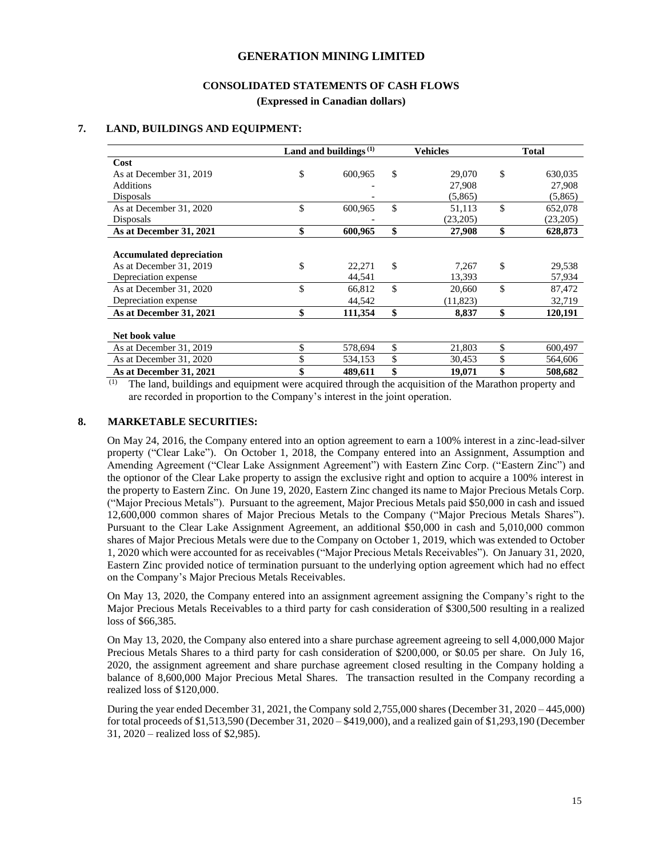### **CONSOLIDATED STATEMENTS OF CASH FLOWS**

**(Expressed in Canadian dollars)**

#### **7. LAND, BUILDINGS AND EQUIPMENT:**

|                                 | Land and buildings $(1)$ |         | Vehicles     | <b>Total</b>  |
|---------------------------------|--------------------------|---------|--------------|---------------|
| Cost                            |                          |         |              |               |
| As at December 31, 2019         | \$                       | 600,965 | \$<br>29,070 | \$<br>630,035 |
| <b>Additions</b>                |                          |         | 27,908       | 27,908        |
| Disposals                       |                          |         | (5,865)      | (5,865)       |
| As at December 31, 2020         | \$                       | 600,965 | \$<br>51,113 | \$<br>652,078 |
| Disposals                       |                          |         | (23,205)     | (23,205)      |
| As at December 31, 2021         | \$                       | 600,965 | \$<br>27,908 | \$<br>628,873 |
|                                 |                          |         |              |               |
| <b>Accumulated depreciation</b> |                          |         |              |               |
| As at December 31, 2019         | \$                       | 22,271  | \$<br>7,267  | \$<br>29,538  |
| Depreciation expense            |                          | 44,541  | 13,393       | 57,934        |
| As at December 31, 2020         | \$                       | 66,812  | \$<br>20,660 | \$<br>87,472  |
| Depreciation expense            |                          | 44,542  | (11, 823)    | 32,719        |
| As at December 31, 2021         | \$                       | 111,354 | \$<br>8,837  | \$<br>120,191 |
|                                 |                          |         |              |               |
| Net book value                  |                          |         |              |               |
| As at December 31, 2019         | \$                       | 578,694 | \$<br>21,803 | \$<br>600,497 |
| As at December 31, 2020         | \$                       | 534,153 | \$<br>30,453 | \$<br>564,606 |
| As at December 31, 2021         | \$                       | 489,611 | \$<br>19,071 | \$<br>508,682 |

 $\overline{p}$  The land, buildings and equipment were acquired through the acquisition of the Marathon property and are recorded in proportion to the Company's interest in the joint operation.

#### **8. MARKETABLE SECURITIES:**

On May 24, 2016, the Company entered into an option agreement to earn a 100% interest in a zinc-lead-silver property ("Clear Lake"). On October 1, 2018, the Company entered into an Assignment, Assumption and Amending Agreement ("Clear Lake Assignment Agreement") with Eastern Zinc Corp. ("Eastern Zinc") and the optionor of the Clear Lake property to assign the exclusive right and option to acquire a 100% interest in the property to Eastern Zinc. On June 19, 2020, Eastern Zinc changed its name to Major Precious Metals Corp. ("Major Precious Metals"). Pursuant to the agreement, Major Precious Metals paid \$50,000 in cash and issued 12,600,000 common shares of Major Precious Metals to the Company ("Major Precious Metals Shares"). Pursuant to the Clear Lake Assignment Agreement, an additional \$50,000 in cash and 5,010,000 common shares of Major Precious Metals were due to the Company on October 1, 2019, which was extended to October 1, 2020 which were accounted for as receivables ("Major Precious Metals Receivables"). On January 31, 2020, Eastern Zinc provided notice of termination pursuant to the underlying option agreement which had no effect on the Company's Major Precious Metals Receivables.

On May 13, 2020, the Company entered into an assignment agreement assigning the Company's right to the Major Precious Metals Receivables to a third party for cash consideration of \$300,500 resulting in a realized loss of \$66,385.

On May 13, 2020, the Company also entered into a share purchase agreement agreeing to sell 4,000,000 Major Precious Metals Shares to a third party for cash consideration of \$200,000, or \$0.05 per share. On July 16, 2020, the assignment agreement and share purchase agreement closed resulting in the Company holding a balance of 8,600,000 Major Precious Metal Shares. The transaction resulted in the Company recording a realized loss of \$120,000.

During the year ended December 31, 2021, the Company sold 2,755,000 shares (December 31, 2020 – 445,000) for total proceeds of \$1,513,590 (December 31, 2020 – \$419,000), and a realized gain of \$1,293,190 (December 31, 2020 – realized loss of \$2,985).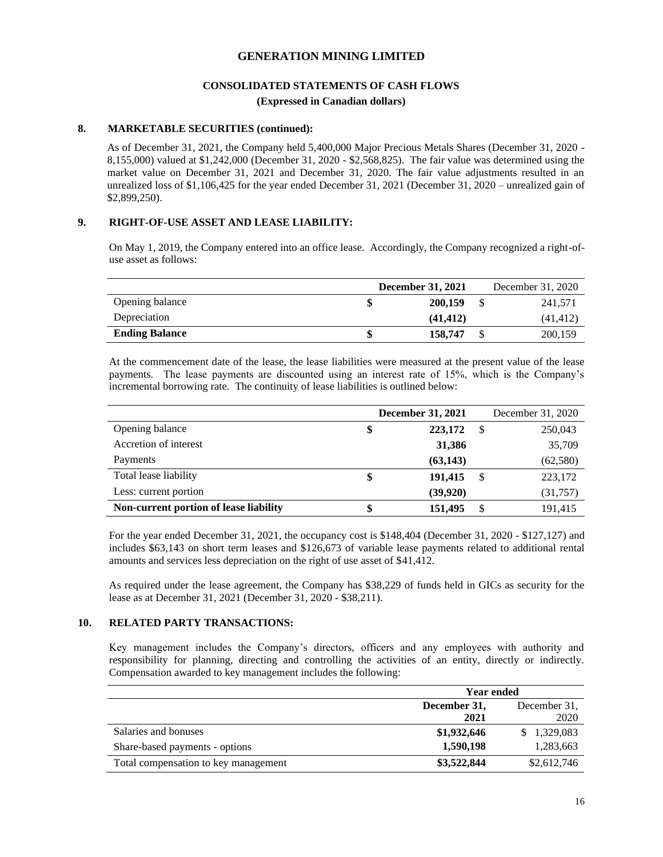## **CONSOLIDATED STATEMENTS OF CASH FLOWS (Expressed in Canadian dollars)**

#### **8. MARKETABLE SECURITIES (continued):**

As of December 31, 2021, the Company held 5,400,000 Major Precious Metals Shares (December 31, 2020 - 8,155,000) valued at \$1,242,000 (December 31, 2020 - \$2,568,825). The fair value was determined using the market value on December 31, 2021 and December 31, 2020. The fair value adjustments resulted in an unrealized loss of \$1,106,425 for the year ended December 31, 2021 (December 31, 2020 – unrealized gain of \$2,899,250).

#### **9. RIGHT-OF-USE ASSET AND LEASE LIABILITY:**

On May 1, 2019, the Company entered into an office lease. Accordingly, the Company recognized a right-ofuse asset as follows:

|                       | <b>December 31, 2021</b> | December 31, 2020 |
|-----------------------|--------------------------|-------------------|
| Opening balance       | 200,159                  | 241,571           |
| Depreciation          | (41.412)                 | (41, 412)         |
| <b>Ending Balance</b> | 158,747                  | 200,159           |

At the commencement date of the lease, the lease liabilities were measured at the present value of the lease payments. The lease payments are discounted using an interest rate of 15%, which is the Company's incremental borrowing rate. The continuity of lease liabilities is outlined below:

|                                        | <b>December 31, 2021</b> |           |    | December 31, 2020 |
|----------------------------------------|--------------------------|-----------|----|-------------------|
| Opening balance                        | \$                       | 223,172   | -S | 250,043           |
| Accretion of interest                  |                          | 31,386    |    | 35,709            |
| Payments                               |                          | (63, 143) |    | (62, 580)         |
| Total lease liability                  |                          | 191,415   | -S | 223,172           |
| Less: current portion                  |                          | (39, 920) |    | (31, 757)         |
| Non-current portion of lease liability |                          | 151,495   | S  | 191,415           |

For the year ended December 31, 2021, the occupancy cost is \$148,404 (December 31, 2020 - \$127,127) and includes \$63,143 on short term leases and \$126,673 of variable lease payments related to additional rental amounts and services less depreciation on the right of use asset of \$41,412.

As required under the lease agreement, the Company has \$38,229 of funds held in GICs as security for the lease as at December 31, 2021 (December 31, 2020 - \$38,211).

#### **10. RELATED PARTY TRANSACTIONS:**

Key management includes the Company's directors, officers and any employees with authority and responsibility for planning, directing and controlling the activities of an entity, directly or indirectly. Compensation awarded to key management includes the following:

|                                      | <b>Year ended</b> |              |  |
|--------------------------------------|-------------------|--------------|--|
|                                      | December 31,      | December 31. |  |
|                                      | 2021              | 2020         |  |
| Salaries and bonuses                 | \$1,932,646       | \$1,329,083  |  |
| Share-based payments - options       | 1,590,198         | 1,283,663    |  |
| Total compensation to key management | \$3,522,844       | \$2,612,746  |  |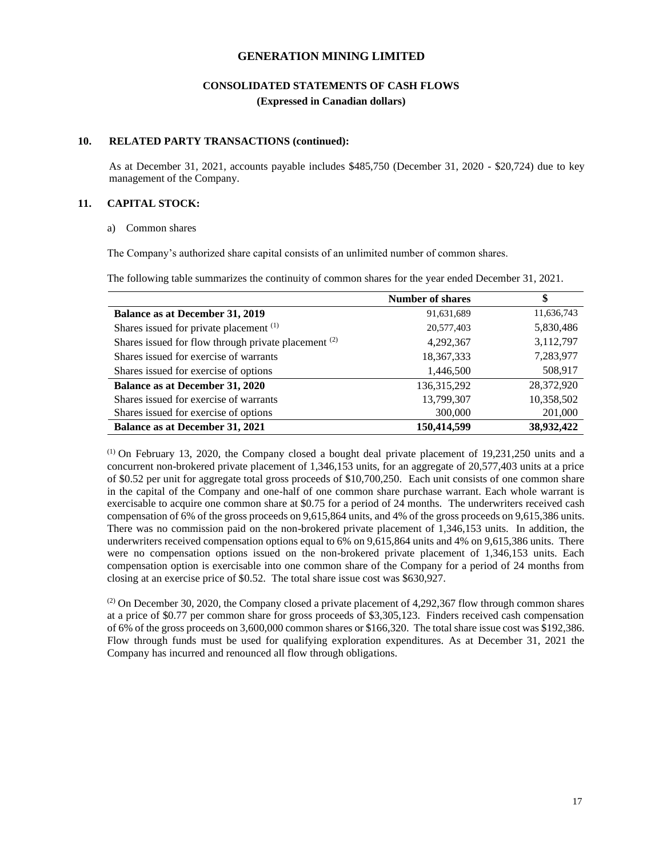## **CONSOLIDATED STATEMENTS OF CASH FLOWS (Expressed in Canadian dollars)**

#### **10. RELATED PARTY TRANSACTIONS (continued):**

As at December 31, 2021, accounts payable includes \$485,750 (December 31, 2020 - \$20,724) due to key management of the Company.

### **11. CAPITAL STOCK:**

#### a) Common shares

The Company's authorized share capital consists of an unlimited number of common shares.

The following table summarizes the continuity of common shares for the year ended December 31, 2021.

|                                                        | <b>Number of shares</b> | \$         |
|--------------------------------------------------------|-------------------------|------------|
| Balance as at December 31, 2019                        | 91,631,689              | 11,636,743 |
| Shares issued for private placement (1)                | 20,577,403              | 5,830,486  |
| Shares issued for flow through private placement $(2)$ | 4,292,367               | 3,112,797  |
| Shares issued for exercise of warrants                 | 18,367,333              | 7,283,977  |
| Shares issued for exercise of options                  | 1,446,500               | 508,917    |
| <b>Balance as at December 31, 2020</b>                 | 136, 315, 292           | 28,372,920 |
| Shares issued for exercise of warrants                 | 13,799,307              | 10,358,502 |
| Shares issued for exercise of options                  | 300,000                 | 201,000    |
| <b>Balance as at December 31, 2021</b>                 | 150,414,599             | 38,932,422 |

(1) On February 13, 2020, the Company closed a bought deal private placement of 19,231,250 units and a concurrent non-brokered private placement of 1,346,153 units, for an aggregate of 20,577,403 units at a price of \$0.52 per unit for aggregate total gross proceeds of \$10,700,250. Each unit consists of one common share in the capital of the Company and one-half of one common share purchase warrant. Each whole warrant is exercisable to acquire one common share at \$0.75 for a period of 24 months. The underwriters received cash compensation of 6% of the gross proceeds on 9,615,864 units, and 4% of the gross proceeds on 9,615,386 units. There was no commission paid on the non-brokered private placement of 1,346,153 units. In addition, the underwriters received compensation options equal to 6% on 9,615,864 units and 4% on 9,615,386 units. There were no compensation options issued on the non-brokered private placement of 1,346,153 units. Each compensation option is exercisable into one common share of the Company for a period of 24 months from closing at an exercise price of \$0.52. The total share issue cost was \$630,927.

(2) On December 30, 2020, the Company closed a private placement of 4,292,367 flow through common shares at a price of \$0.77 per common share for gross proceeds of \$3,305,123. Finders received cash compensation of 6% of the gross proceeds on 3,600,000 common shares or \$166,320. The total share issue cost was \$192,386. Flow through funds must be used for qualifying exploration expenditures. As at December 31, 2021 the Company has incurred and renounced all flow through obligations.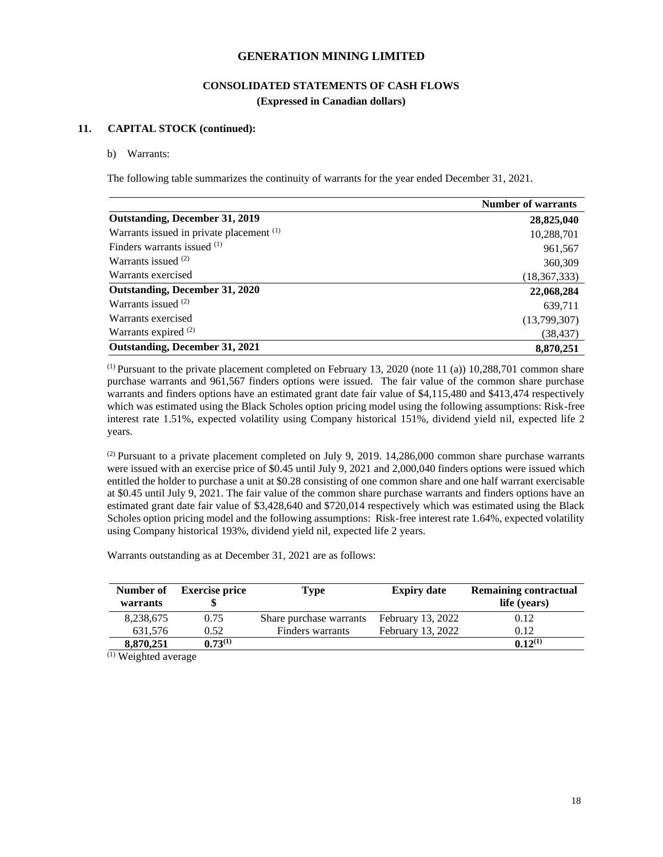## **CONSOLIDATED STATEMENTS OF CASH FLOWS (Expressed in Canadian dollars)**

#### **11. CAPITAL STOCK (continued):**

#### b) Warrants:

The following table summarizes the continuity of warrants for the year ended December 31, 2021.

|                                          | <b>Number of warrants</b> |
|------------------------------------------|---------------------------|
| <b>Outstanding, December 31, 2019</b>    | 28,825,040                |
| Warrants issued in private placement (1) | 10,288,701                |
| Finders warrants issued (1)              | 961,567                   |
| Warrants issued $(2)$                    | 360,309                   |
| Warrants exercised                       | (18, 367, 333)            |
| Outstanding, December 31, 2020           | 22,068,284                |
| Warrants issued $(2)$                    | 639,711                   |
| Warrants exercised                       | (13,799,307)              |
| Warrants expired <sup>(2)</sup>          | (38, 437)                 |
| <b>Outstanding, December 31, 2021</b>    | 8,870,251                 |

 $(1)$  Pursuant to the private placement completed on February 13, 2020 (note 11 (a)) 10,288,701 common share purchase warrants and 961,567 finders options were issued. The fair value of the common share purchase warrants and finders options have an estimated grant date fair value of \$4,115,480 and \$413,474 respectively which was estimated using the Black Scholes option pricing model using the following assumptions: Risk-free interest rate 1.51%, expected volatility using Company historical 151%, dividend yield nil, expected life 2 years.

(2) Pursuant to a private placement completed on July 9, 2019. 14,286,000 common share purchase warrants were issued with an exercise price of \$0.45 until July 9, 2021 and 2,000,040 finders options were issued which entitled the holder to purchase a unit at \$0.28 consisting of one common share and one half warrant exercisable at \$0.45 until July 9, 2021. The fair value of the common share purchase warrants and finders options have an estimated grant date fair value of \$3,428,640 and \$720,014 respectively which was estimated using the Black Scholes option pricing model and the following assumptions: Risk-free interest rate 1.64%, expected volatility using Company historical 193%, dividend yield nil, expected life 2 years.

Warrants outstanding as at December 31, 2021 are as follows:

| Number of<br>warrants | <b>Exercise price</b> | Type                    | <b>Expiry date</b> | <b>Remaining contractual</b><br>life (years) |
|-----------------------|-----------------------|-------------------------|--------------------|----------------------------------------------|
| 8,238,675             | 0.75                  | Share purchase warrants | February 13, 2022  | 0.12                                         |
| 631.576               | 0.52                  | Finders warrants        | February 13, 2022  | 0.12                                         |
| 8,870,251             | $0.73^{(1)}$          |                         |                    | $0.12^{(1)}$                                 |

(1) Weighted average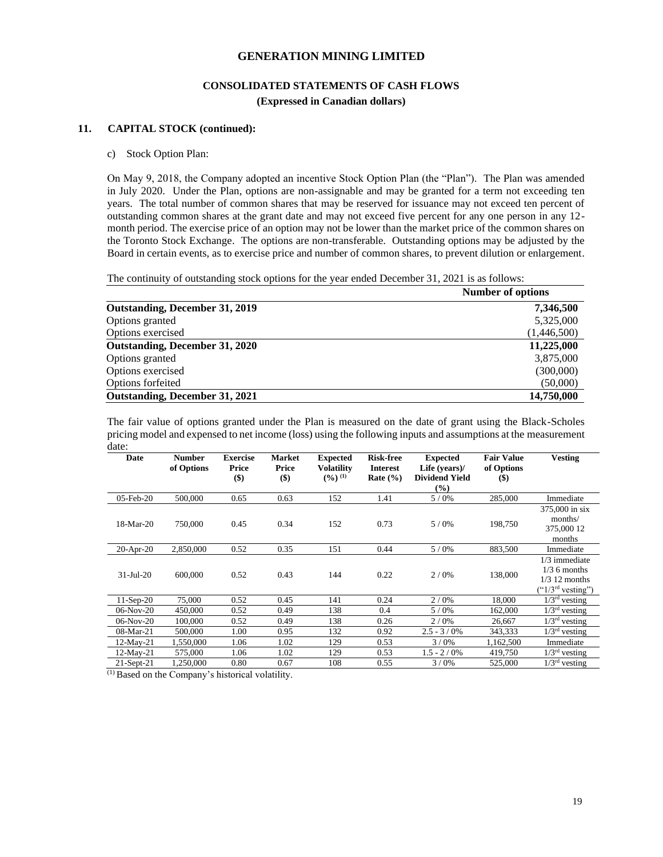## **CONSOLIDATED STATEMENTS OF CASH FLOWS (Expressed in Canadian dollars)**

#### **11. CAPITAL STOCK (continued):**

#### c) Stock Option Plan:

On May 9, 2018, the Company adopted an incentive Stock Option Plan (the "Plan"). The Plan was amended in July 2020. Under the Plan, options are non-assignable and may be granted for a term not exceeding ten years. The total number of common shares that may be reserved for issuance may not exceed ten percent of outstanding common shares at the grant date and may not exceed five percent for any one person in any 12 month period. The exercise price of an option may not be lower than the market price of the common shares on the Toronto Stock Exchange. The options are non-transferable. Outstanding options may be adjusted by the Board in certain events, as to exercise price and number of common shares, to prevent dilution or enlargement.

The continuity of outstanding stock options for the year ended December 31, 2021 is as follows:

|                                       | <b>Number of options</b> |  |
|---------------------------------------|--------------------------|--|
| Outstanding, December 31, 2019        | 7,346,500                |  |
| Options granted                       | 5,325,000                |  |
| Options exercised                     | (1,446,500)              |  |
| Outstanding, December 31, 2020        | 11,225,000               |  |
| Options granted                       | 3,875,000                |  |
| Options exercised                     | (300,000)                |  |
| Options forfeited                     | (50,000)                 |  |
| <b>Outstanding, December 31, 2021</b> | 14,750,000               |  |

The fair value of options granted under the Plan is measured on the date of grant using the Black-Scholes pricing model and expensed to net income (loss) using the following inputs and assumptions at the measurement date:

| Date          | <b>Number</b><br>of Options | <b>Exercise</b><br>Price<br>$($ \$) | <b>Market</b><br>Price<br>$($)$ | <b>Expected</b><br><b>Volatility</b><br>$(9/0)^{(1)}$ | <b>Risk-free</b><br><b>Interest</b><br>Rate $(\% )$ | <b>Expected</b><br>Life (years)/<br><b>Dividend Yield</b><br>(%) | <b>Fair Value</b><br>of Options<br>$(\$)$ | <b>Vesting</b>                                                                        |
|---------------|-----------------------------|-------------------------------------|---------------------------------|-------------------------------------------------------|-----------------------------------------------------|------------------------------------------------------------------|-------------------------------------------|---------------------------------------------------------------------------------------|
| $05$ -Feb-20  | 500,000                     | 0.65                                | 0.63                            | 152                                                   | 1.41                                                | 5/0%                                                             | 285,000                                   | Immediate                                                                             |
| 18-Mar-20     | 750,000                     | 0.45                                | 0.34                            | 152                                                   | 0.73                                                | 5/0%                                                             | 198,750                                   | 375,000 in six<br>months/<br>375,000 12<br>months                                     |
| $20$ -Apr-20  | 2,850,000                   | 0.52                                | 0.35                            | 151                                                   | 0.44                                                | 5/0%                                                             | 883,500                                   | Immediate                                                                             |
| $31$ -Jul-20  | 600,000                     | 0.52                                | 0.43                            | 144                                                   | 0.22                                                | 2/0%                                                             | 138,000                                   | $1/3$ immediate<br>$1/3$ 6 months<br>$1/3$ 12 months<br>("1/3 <sup>rd</sup> vesting") |
| $11-Sep-20$   | 75,000                      | 0.52                                | 0.45                            | 141                                                   | 0.24                                                | 2/0%                                                             | 18,000                                    | $1/3rd$ vesting                                                                       |
| 06-Nov-20     | 450,000                     | 0.52                                | 0.49                            | 138                                                   | 0.4                                                 | 5/0%                                                             | 162,000                                   | $1/3rd$ vesting                                                                       |
| $06-Nov-20$   | 100,000                     | 0.52                                | 0.49                            | 138                                                   | 0.26                                                | 2/0%                                                             | 26,667                                    | $1/3rd$ vesting                                                                       |
| 08-Mar-21     | 500,000                     | 1.00                                | 0.95                            | 132                                                   | 0.92                                                | $2.5 - 3/0\%$                                                    | 343,333                                   | $1/3rd$ vesting                                                                       |
| $12-Mav-21$   | 1,550,000                   | 1.06                                | 1.02                            | 129                                                   | 0.53                                                | 3/0%                                                             | 1,162,500                                 | Immediate                                                                             |
| 12-May-21     | 575,000                     | 1.06                                | 1.02                            | 129                                                   | 0.53                                                | $1.5 - 2 / 0\%$                                                  | 419,750                                   | $1/3rd$ vesting                                                                       |
| $21$ -Sept-21 | 1,250,000                   | 0.80                                | 0.67                            | 108                                                   | 0.55                                                | 3/0%                                                             | 525,000                                   | $1/3rd$ vesting                                                                       |

(1) Based on the Company's historical volatility.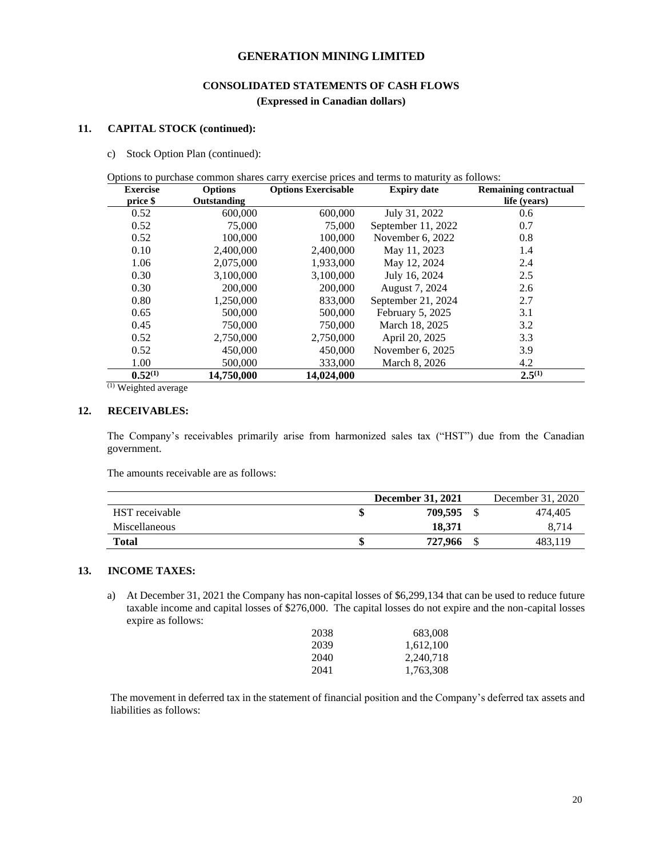## **CONSOLIDATED STATEMENTS OF CASH FLOWS (Expressed in Canadian dollars)**

#### **11. CAPITAL STOCK (continued):**

c) Stock Option Plan (continued):

Options to purchase common shares carry exercise prices and terms to maturity as follows:

| <b>Exercise</b> | <b>Options</b> | <b>Options Exercisable</b> | <b>Expiry date</b> | <b>Remaining contractual</b> |
|-----------------|----------------|----------------------------|--------------------|------------------------------|
| price \$        | Outstanding    |                            |                    | life (years)                 |
| 0.52            | 600,000        | 600,000                    | July 31, 2022      | 0.6                          |
| 0.52            | 75,000         | 75,000                     | September 11, 2022 | 0.7                          |
| 0.52            | 100,000        | 100,000                    | November 6, 2022   | 0.8                          |
| 0.10            | 2,400,000      | 2,400,000                  | May 11, 2023       | 1.4                          |
| 1.06            | 2,075,000      | 1,933,000                  | May 12, 2024       | 2.4                          |
| 0.30            | 3.100.000      | 3.100.000                  | July 16, 2024      | 2.5                          |
| 0.30            | 200,000        | 200,000                    | August 7, 2024     | 2.6                          |
| 0.80            | 1,250,000      | 833,000                    | September 21, 2024 | 2.7                          |
| 0.65            | 500,000        | 500,000                    | February 5, 2025   | 3.1                          |
| 0.45            | 750,000        | 750,000                    | March 18, 2025     | 3.2                          |
| 0.52            | 2,750,000      | 2,750,000                  | April 20, 2025     | 3.3                          |
| 0.52            | 450,000        | 450,000                    | November 6, 2025   | 3.9                          |
| 1.00            | 500,000        | 333,000                    | March 8, 2026      | 4.2                          |
| $0.52^{(1)}$    | 14,750,000     | 14,024,000                 |                    | $2.5^{(1)}$                  |

(1) Weighted average

#### **12. RECEIVABLES:**

The Company's receivables primarily arise from harmonized sales tax ("HST") due from the Canadian government.

The amounts receivable are as follows:

|                | <b>December 31, 2021</b> | December 31, 2020 |
|----------------|--------------------------|-------------------|
| HST receivable | 709.595                  | 474.405           |
| Miscellaneous  | 18.371                   | 8.714             |
| <b>Total</b>   | 727,966                  | 483.119           |

## **13. INCOME TAXES:**

a) At December 31, 2021 the Company has non-capital losses of \$6,299,134 that can be used to reduce future taxable income and capital losses of \$276,000. The capital losses do not expire and the non-capital losses expire as follows:

| 2038 | 683,008   |
|------|-----------|
| 2039 | 1,612,100 |
| 2040 | 2,240,718 |
| 2041 | 1,763,308 |

 The movement in deferred tax in the statement of financial position and the Company's deferred tax assets and liabilities as follows: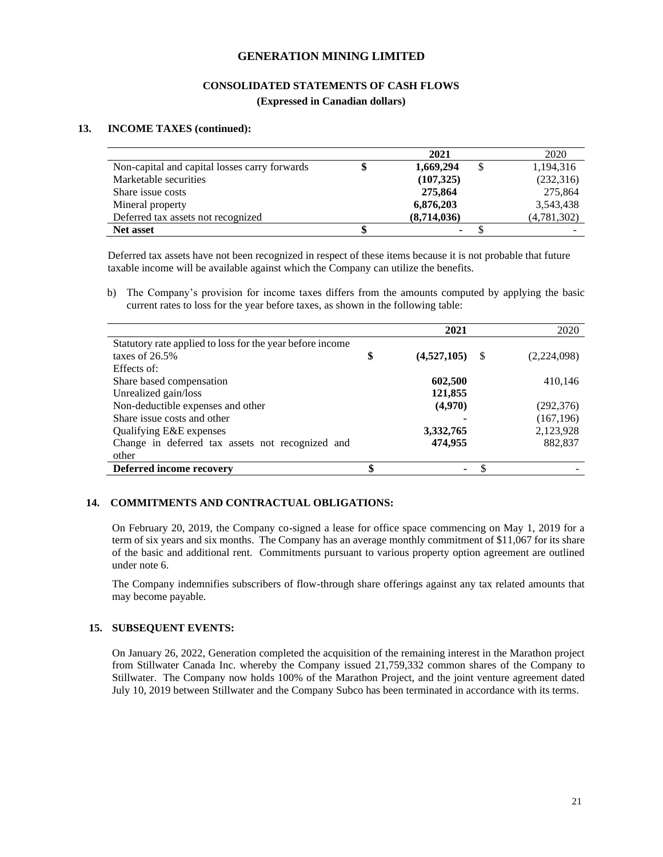## **CONSOLIDATED STATEMENTS OF CASH FLOWS**

**(Expressed in Canadian dollars)**

#### **13. INCOME TAXES (continued):**

|                                               | 2021        | 2020        |
|-----------------------------------------------|-------------|-------------|
| Non-capital and capital losses carry forwards | 1,669,294   | 1,194,316   |
| Marketable securities                         | (107, 325)  | (232,316)   |
| Share issue costs                             | 275,864     | 275,864     |
| Mineral property                              | 6,876,203   | 3,543,438   |
| Deferred tax assets not recognized            | (8,714,036) | (4,781,302) |
| <b>Net asset</b>                              | ۰           |             |

 Deferred tax assets have not been recognized in respect of these items because it is not probable that future taxable income will be available against which the Company can utilize the benefits.

b) The Company's provision for income taxes differs from the amounts computed by applying the basic current rates to loss for the year before taxes, as shown in the following table:

|                                                           | 2021              |      | 2020        |
|-----------------------------------------------------------|-------------------|------|-------------|
| Statutory rate applied to loss for the year before income |                   |      |             |
| taxes of $26.5%$                                          | \$<br>(4,527,105) | - \$ | (2,224,098) |
| Effects of:                                               |                   |      |             |
| Share based compensation                                  | 602,500           |      | 410,146     |
| Unrealized gain/loss                                      | 121,855           |      |             |
| Non-deductible expenses and other                         | (4,970)           |      | (292, 376)  |
| Share issue costs and other                               |                   |      | (167, 196)  |
| Qualifying E&E expenses                                   | 3,332,765         |      | 2,123,928   |
| Change in deferred tax assets not recognized and          | 474,955           |      | 882,837     |
| other                                                     |                   |      |             |
| Deferred income recovery                                  |                   |      |             |

#### **14. COMMITMENTS AND CONTRACTUAL OBLIGATIONS:**

On February 20, 2019, the Company co-signed a lease for office space commencing on May 1, 2019 for a term of six years and six months. The Company has an average monthly commitment of \$11,067 for its share of the basic and additional rent. Commitments pursuant to various property option agreement are outlined under note 6.

The Company indemnifies subscribers of flow-through share offerings against any tax related amounts that may become payable.

#### **15. SUBSEQUENT EVENTS:**

On January 26, 2022, Generation completed the acquisition of the remaining interest in the Marathon project from Stillwater Canada Inc. whereby the Company issued 21,759,332 common shares of the Company to Stillwater. The Company now holds 100% of the Marathon Project, and the joint venture agreement dated July 10, 2019 between Stillwater and the Company Subco has been terminated in accordance with its terms.